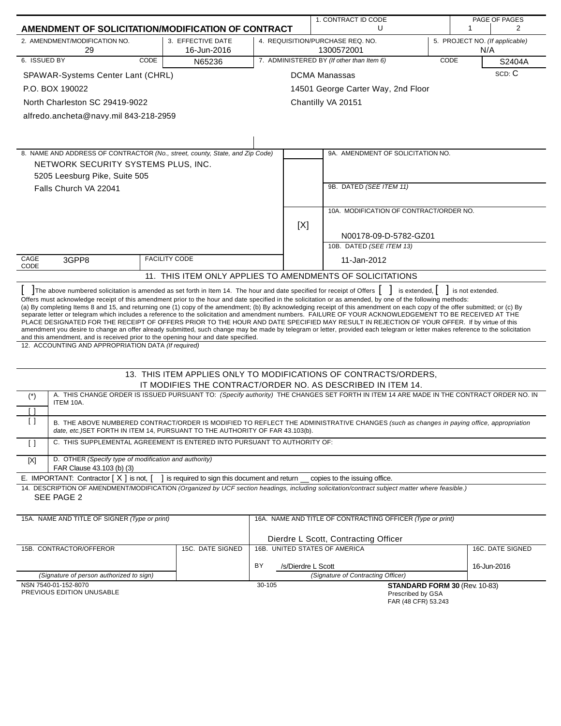|                                                                                                                                                                                                                                                                                                                                                                                                                                                                                                                                                                                                                                                                                                                                                                                                                      |                                                                                 | 1. CONTRACT ID CODE           |     |                                                                     | PAGE OF PAGES |                  |                                |
|----------------------------------------------------------------------------------------------------------------------------------------------------------------------------------------------------------------------------------------------------------------------------------------------------------------------------------------------------------------------------------------------------------------------------------------------------------------------------------------------------------------------------------------------------------------------------------------------------------------------------------------------------------------------------------------------------------------------------------------------------------------------------------------------------------------------|---------------------------------------------------------------------------------|-------------------------------|-----|---------------------------------------------------------------------|---------------|------------------|--------------------------------|
| AMENDMENT OF SOLICITATION/MODIFICATION OF CONTRACT                                                                                                                                                                                                                                                                                                                                                                                                                                                                                                                                                                                                                                                                                                                                                                   |                                                                                 |                               |     | U                                                                   |               | 1                | $\overline{2}$                 |
| 2. AMENDMENT/MODIFICATION NO.<br>29                                                                                                                                                                                                                                                                                                                                                                                                                                                                                                                                                                                                                                                                                                                                                                                  | 3. EFFECTIVE DATE<br>16-Jun-2016                                                |                               |     | 4. REQUISITION/PURCHASE REQ. NO.<br>1300572001                      |               | N/A              | 5. PROJECT NO. (If applicable) |
| 6. ISSUED BY<br>CODE                                                                                                                                                                                                                                                                                                                                                                                                                                                                                                                                                                                                                                                                                                                                                                                                 | N65236                                                                          |                               |     | 7. ADMINISTERED BY (If other than Item 6)                           | CODE          |                  | S2404A                         |
| SPAWAR-Systems Center Lant (CHRL)                                                                                                                                                                                                                                                                                                                                                                                                                                                                                                                                                                                                                                                                                                                                                                                    |                                                                                 |                               |     | <b>DCMA Manassas</b>                                                |               |                  | SCD: C                         |
| P.O. BOX 190022                                                                                                                                                                                                                                                                                                                                                                                                                                                                                                                                                                                                                                                                                                                                                                                                      |                                                                                 |                               |     | 14501 George Carter Way, 2nd Floor                                  |               |                  |                                |
| North Charleston SC 29419-9022                                                                                                                                                                                                                                                                                                                                                                                                                                                                                                                                                                                                                                                                                                                                                                                       |                                                                                 |                               |     | Chantilly VA 20151                                                  |               |                  |                                |
| alfredo.ancheta@navy.mil 843-218-2959                                                                                                                                                                                                                                                                                                                                                                                                                                                                                                                                                                                                                                                                                                                                                                                |                                                                                 |                               |     |                                                                     |               |                  |                                |
|                                                                                                                                                                                                                                                                                                                                                                                                                                                                                                                                                                                                                                                                                                                                                                                                                      |                                                                                 |                               |     |                                                                     |               |                  |                                |
|                                                                                                                                                                                                                                                                                                                                                                                                                                                                                                                                                                                                                                                                                                                                                                                                                      |                                                                                 |                               |     |                                                                     |               |                  |                                |
| 8. NAME AND ADDRESS OF CONTRACTOR (No., street, county, State, and Zip Code)                                                                                                                                                                                                                                                                                                                                                                                                                                                                                                                                                                                                                                                                                                                                         |                                                                                 |                               |     | 9A. AMENDMENT OF SOLICITATION NO.                                   |               |                  |                                |
| NETWORK SECURITY SYSTEMS PLUS, INC.                                                                                                                                                                                                                                                                                                                                                                                                                                                                                                                                                                                                                                                                                                                                                                                  |                                                                                 |                               |     |                                                                     |               |                  |                                |
| 5205 Leesburg Pike, Suite 505                                                                                                                                                                                                                                                                                                                                                                                                                                                                                                                                                                                                                                                                                                                                                                                        |                                                                                 |                               |     |                                                                     |               |                  |                                |
| Falls Church VA 22041                                                                                                                                                                                                                                                                                                                                                                                                                                                                                                                                                                                                                                                                                                                                                                                                |                                                                                 |                               |     | 9B. DATED (SEE ITEM 11)                                             |               |                  |                                |
|                                                                                                                                                                                                                                                                                                                                                                                                                                                                                                                                                                                                                                                                                                                                                                                                                      |                                                                                 |                               |     |                                                                     |               |                  |                                |
|                                                                                                                                                                                                                                                                                                                                                                                                                                                                                                                                                                                                                                                                                                                                                                                                                      |                                                                                 |                               |     | 10A. MODIFICATION OF CONTRACT/ORDER NO.                             |               |                  |                                |
|                                                                                                                                                                                                                                                                                                                                                                                                                                                                                                                                                                                                                                                                                                                                                                                                                      |                                                                                 |                               | [X] |                                                                     |               |                  |                                |
|                                                                                                                                                                                                                                                                                                                                                                                                                                                                                                                                                                                                                                                                                                                                                                                                                      |                                                                                 |                               |     | N00178-09-D-5782-GZ01                                               |               |                  |                                |
|                                                                                                                                                                                                                                                                                                                                                                                                                                                                                                                                                                                                                                                                                                                                                                                                                      |                                                                                 |                               |     | 10B. DATED (SEE ITEM 13)                                            |               |                  |                                |
| CAGE<br>3GPP8                                                                                                                                                                                                                                                                                                                                                                                                                                                                                                                                                                                                                                                                                                                                                                                                        | <b>FACILITY CODE</b>                                                            | 11-Jan-2012                   |     |                                                                     |               |                  |                                |
| CODE                                                                                                                                                                                                                                                                                                                                                                                                                                                                                                                                                                                                                                                                                                                                                                                                                 |                                                                                 |                               |     | 11. THIS ITEM ONLY APPLIES TO AMENDMENTS OF SOLICITATIONS           |               |                  |                                |
| The above numbered solicitation is amended as set forth in Item 14. The hour and date specified for receipt of Offers                                                                                                                                                                                                                                                                                                                                                                                                                                                                                                                                                                                                                                                                                                |                                                                                 |                               |     | is extended,                                                        |               | is not extended. |                                |
| (a) By completing Items 8 and 15, and returning one (1) copy of the amendment; (b) By acknowledging receipt of this amendment on each copy of the offer submitted; or (c) By<br>separate letter or telegram which includes a reference to the solicitation and amendment numbers. FAILURE OF YOUR ACKNOWLEDGEMENT TO BE RECEIVED AT THE<br>PLACE DESIGNATED FOR THE RECEIPT OF OFFERS PRIOR TO THE HOUR AND DATE SPECIFIED MAY RESULT IN REJECTION OF YOUR OFFER. If by virtue of this<br>amendment you desire to change an offer already submitted, such change may be made by telegram or letter, provided each telegram or letter makes reference to the solicitation<br>and this amendment, and is received prior to the opening hour and date specified.<br>12. ACCOUNTING AND APPROPRIATION DATA (If required) |                                                                                 |                               |     |                                                                     |               |                  |                                |
|                                                                                                                                                                                                                                                                                                                                                                                                                                                                                                                                                                                                                                                                                                                                                                                                                      |                                                                                 |                               |     |                                                                     |               |                  |                                |
|                                                                                                                                                                                                                                                                                                                                                                                                                                                                                                                                                                                                                                                                                                                                                                                                                      |                                                                                 |                               |     | 13. THIS ITEM APPLIES ONLY TO MODIFICATIONS OF CONTRACTS/ORDERS.    |               |                  |                                |
| A. THIS CHANGE ORDER IS ISSUED PURSUANT TO: (Specify authority) THE CHANGES SET FORTH IN ITEM 14 ARE MADE IN THE CONTRACT ORDER NO. IN                                                                                                                                                                                                                                                                                                                                                                                                                                                                                                                                                                                                                                                                               |                                                                                 |                               |     | IT MODIFIES THE CONTRACT/ORDER NO. AS DESCRIBED IN ITEM 14.         |               |                  |                                |
| $(*)$<br>ITEM 10A.                                                                                                                                                                                                                                                                                                                                                                                                                                                                                                                                                                                                                                                                                                                                                                                                   |                                                                                 |                               |     |                                                                     |               |                  |                                |
| ſ 1<br>B. THE ABOVE NUMBERED CONTRACT/ORDER IS MODIFIED TO REFLECT THE ADMINISTRATIVE CHANGES (such as changes in paying office, appropriation<br>date, etc.)SET FORTH IN ITEM 14, PURSUANT TO THE AUTHORITY OF FAR 43.103(b).                                                                                                                                                                                                                                                                                                                                                                                                                                                                                                                                                                                       |                                                                                 |                               |     |                                                                     |               |                  |                                |
| C. THIS SUPPLEMENTAL AGREEMENT IS ENTERED INTO PURSUANT TO AUTHORITY OF:<br>$\Box$                                                                                                                                                                                                                                                                                                                                                                                                                                                                                                                                                                                                                                                                                                                                   |                                                                                 |                               |     |                                                                     |               |                  |                                |
| D. OTHER (Specify type of modification and authority)<br>$[{\sf X}]$<br>FAR Clause 43.103 (b) (3)                                                                                                                                                                                                                                                                                                                                                                                                                                                                                                                                                                                                                                                                                                                    |                                                                                 |                               |     |                                                                     |               |                  |                                |
| E. IMPORTANT: Contractor [X] is not, [                                                                                                                                                                                                                                                                                                                                                                                                                                                                                                                                                                                                                                                                                                                                                                               | ] is required to sign this document and return __ copies to the issuing office. |                               |     |                                                                     |               |                  |                                |
| 14. DESCRIPTION OF AMENDMENT/MODIFICATION (Organized by UCF section headings, including solicitation/contract subject matter where feasible.)                                                                                                                                                                                                                                                                                                                                                                                                                                                                                                                                                                                                                                                                        |                                                                                 |                               |     |                                                                     |               |                  |                                |
| SEE PAGE 2                                                                                                                                                                                                                                                                                                                                                                                                                                                                                                                                                                                                                                                                                                                                                                                                           |                                                                                 |                               |     |                                                                     |               |                  |                                |
| 15A. NAME AND TITLE OF SIGNER (Type or print)                                                                                                                                                                                                                                                                                                                                                                                                                                                                                                                                                                                                                                                                                                                                                                        | 16A. NAME AND TITLE OF CONTRACTING OFFICER (Type or print)                      |                               |     |                                                                     |               |                  |                                |
|                                                                                                                                                                                                                                                                                                                                                                                                                                                                                                                                                                                                                                                                                                                                                                                                                      |                                                                                 |                               |     |                                                                     |               |                  |                                |
| 15B. CONTRACTOR/OFFEROR                                                                                                                                                                                                                                                                                                                                                                                                                                                                                                                                                                                                                                                                                                                                                                                              | 15C. DATE SIGNED                                                                | 16B. UNITED STATES OF AMERICA |     | Dierdre L Scott, Contracting Officer                                |               |                  | 16C. DATE SIGNED               |
|                                                                                                                                                                                                                                                                                                                                                                                                                                                                                                                                                                                                                                                                                                                                                                                                                      |                                                                                 |                               |     |                                                                     |               |                  |                                |
| BY<br>/s/Dierdre L Scott                                                                                                                                                                                                                                                                                                                                                                                                                                                                                                                                                                                                                                                                                                                                                                                             |                                                                                 |                               |     |                                                                     |               | 16-Jun-2016      |                                |
| (Signature of person authorized to sign)<br>NSN 7540-01-152-8070                                                                                                                                                                                                                                                                                                                                                                                                                                                                                                                                                                                                                                                                                                                                                     |                                                                                 | 30-105                        |     | (Signature of Contracting Officer)<br>STANDARD FORM 30 (Rev. 10-83) |               |                  |                                |
| PREVIOUS EDITION UNUSABLE                                                                                                                                                                                                                                                                                                                                                                                                                                                                                                                                                                                                                                                                                                                                                                                            |                                                                                 |                               |     | Prescribed by GSA                                                   |               |                  |                                |

Prescribed by GSA FAR (48 CFR) 53.243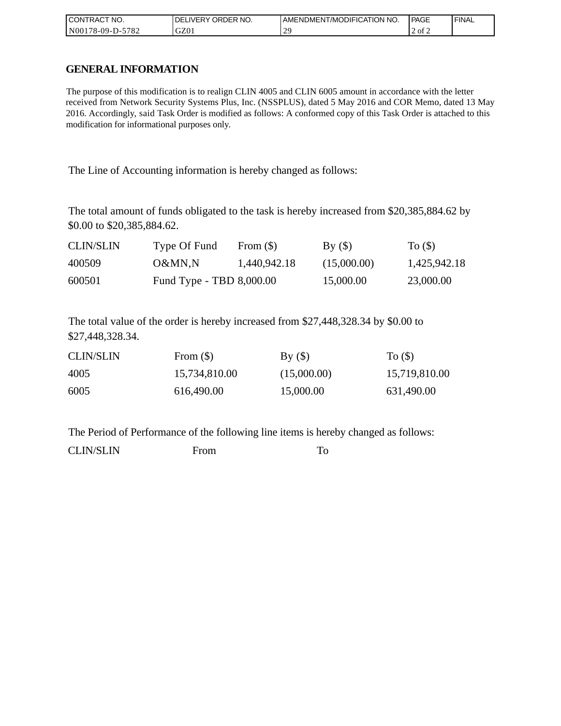| °CT NO.<br><b>CON</b><br>ITRAC | NO.<br><b>ORDER</b><br>DELI<br><b>IVERY</b> | <b>I AMENDMENT/MODIFICATION NO.</b> | l PAGE  | <b>FINAL</b> |
|--------------------------------|---------------------------------------------|-------------------------------------|---------|--------------|
| -5782<br>N0017<br>78-09-D-.    | GZ0                                         | ാവ<br>-                             | T2 of 2 |              |

### **GENERAL INFORMATION**

The purpose of this modification is to realign CLIN 4005 and CLIN 6005 amount in accordance with the letter received from Network Security Systems Plus, Inc. (NSSPLUS), dated 5 May 2016 and COR Memo, dated 13 May 2016. Accordingly, said Task Order is modified as follows: A conformed copy of this Task Order is attached to this modification for informational purposes only.

The Line of Accounting information is hereby changed as follows:

The total amount of funds obligated to the task is hereby increased from \$20,385,884.62 by \$0.00 to \$20,385,884.62.

| <b>CLIN/SLIN</b> | Type Of Fund             | From $(\$)$  | $\rm\,By\ (S)$ | To $($ )     |
|------------------|--------------------------|--------------|----------------|--------------|
| 400509           | O&MN.N                   | 1,440,942.18 | (15,000.00)    | 1,425,942.18 |
| 600501           | Fund Type - TBD 8,000.00 |              | 15,000.00      | 23,000.00    |

The total value of the order is hereby increased from \$27,448,328.34 by \$0.00 to \$27,448,328.34.

| <b>CLIN/SLIN</b> | From $(\$)$   | By()        | To $($ )      |
|------------------|---------------|-------------|---------------|
| 4005             | 15,734,810.00 | (15,000.00) | 15,719,810.00 |
| 6005             | 616,490.00    | 15,000.00   | 631,490.00    |

The Period of Performance of the following line items is hereby changed as follows:

CLIN/SLIN From To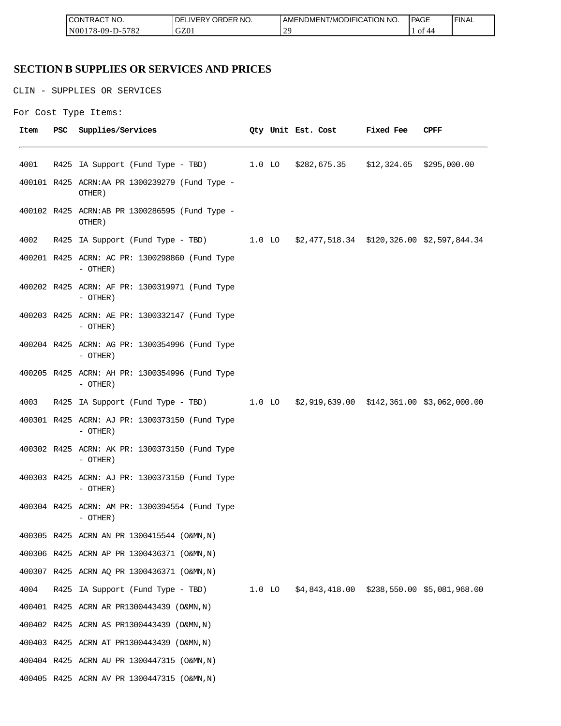| °CT NO.<br><b>ICON</b><br>∵I RAC | $\sim$ $\sim$ $\sim$<br>R NO.<br>JR'<br>≀DE!<br>⊣د، | ICATION NO.<br>ODIFIO<br>AME<br>-NDMEN.<br>l /MC | PAGE<br>____         | <b>FINAL</b> |
|----------------------------------|-----------------------------------------------------|--------------------------------------------------|----------------------|--------------|
| 5700<br>N00<br>/8-09-D-<br>ے ہ≀  | GZ0                                                 | $\bigcap$<br><u>_</u>                            | ΟĪ<br>$\Delta\Delta$ |              |

## **SECTION B SUPPLIES OR SERVICES AND PRICES**

CLIN - SUPPLIES OR SERVICES

```
For Cost Type Items:
```

| Item | <b>PSC</b> | Supplies/Services                                                                   |  | Qty Unit Est. Cost | <b>Fixed Fee</b> | CPFF |
|------|------------|-------------------------------------------------------------------------------------|--|--------------------|------------------|------|
| 4001 |            | R425 IA Support (Fund Type - TBD) 1.0 LO \$282,675.35 \$12,324.65 \$295,000.00      |  |                    |                  |      |
|      |            | 400101 R425 ACRN:AA PR 1300239279 (Fund Type -<br>OTHER)                            |  |                    |                  |      |
|      |            | 400102 R425 ACRN:AB PR 1300286595 (Fund Type -<br>OTHER)                            |  |                    |                  |      |
| 4002 |            | R425 IA Support (Fund Type - TBD) 1.0 LO \$2,477,518.34 \$120,326.00 \$2,597,844.34 |  |                    |                  |      |
|      |            | 400201 R425 ACRN: AC PR: 1300298860 (Fund Type<br>$-$ OTHER)                        |  |                    |                  |      |
|      |            | 400202 R425 ACRN: AF PR: 1300319971 (Fund Type<br>- OTHER)                          |  |                    |                  |      |
|      |            | 400203 R425 ACRN: AE PR: 1300332147 (Fund Type<br>- OTHER)                          |  |                    |                  |      |
|      |            | 400204 R425 ACRN: AG PR: 1300354996 (Fund Type<br>$-$ OTHER)                        |  |                    |                  |      |
|      |            | 400205 R425 ACRN: AH PR: 1300354996 (Fund Type<br>- OTHER)                          |  |                    |                  |      |
| 4003 |            | R425 IA Support (Fund Type - TBD) 1.0 LO \$2,919,639.00 \$142,361.00 \$3,062,000.00 |  |                    |                  |      |
|      |            | 400301 R425 ACRN: AJ PR: 1300373150 (Fund Type<br>$-$ OTHER)                        |  |                    |                  |      |
|      |            | 400302 R425 ACRN: AK PR: 1300373150 (Fund Type<br>$-$ OTHER)                        |  |                    |                  |      |
|      |            | 400303 R425 ACRN: AJ PR: 1300373150 (Fund Type<br>$-$ OTHER)                        |  |                    |                  |      |
|      |            | 400304 R425 ACRN: AM PR: 1300394554 (Fund Type<br>- OTHER)                          |  |                    |                  |      |
|      |            | 400305 R425 ACRN AN PR 1300415544 (O&MN, N)                                         |  |                    |                  |      |
|      |            | 400306 R425 ACRN AP PR 1300436371 (O&MN, N)                                         |  |                    |                  |      |
|      |            | 400307 R425 ACRN AQ PR 1300436371 (O&MN, N)                                         |  |                    |                  |      |
| 4004 |            | R425 IA Support (Fund Type - TBD) 1.0 LO \$4,843,418.00 \$238,550.00 \$5,081,968.00 |  |                    |                  |      |
|      |            | 400401 R425 ACRN AR PR1300443439 (O&MN, N)                                          |  |                    |                  |      |
|      |            | 400402 R425 ACRN AS PR1300443439 (O&MN, N)                                          |  |                    |                  |      |
|      |            | 400403 R425 ACRN AT PR1300443439 (O&MN, N)                                          |  |                    |                  |      |
|      |            | 400404 R425 ACRN AU PR 1300447315 (O&MN, N)                                         |  |                    |                  |      |
|      |            | 400405 R425 ACRN AV PR 1300447315 (O&MN, N)                                         |  |                    |                  |      |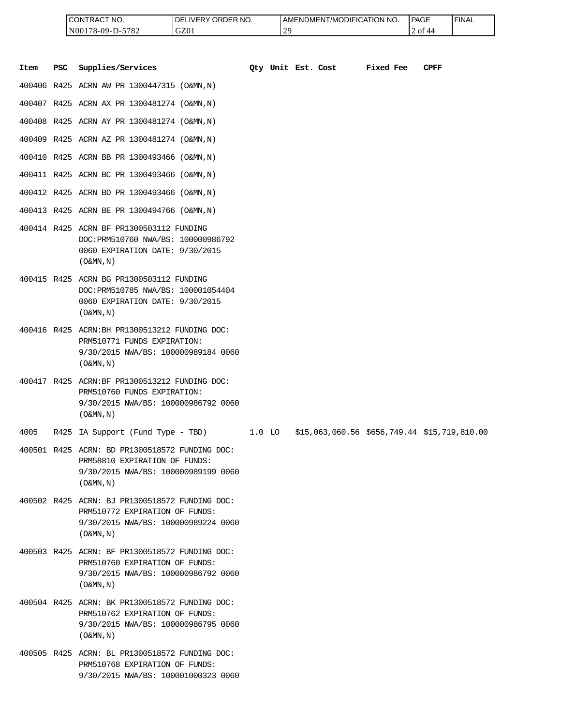| <b>ICONTRACT NO.</b> | <b>IDELIVERY ORDER NO.</b> | <b>I AMENDMENT/MODIFICATION NO.</b> | PAGE     | ' FINAL |
|----------------------|----------------------------|-------------------------------------|----------|---------|
| N00178-09-D-5782     | GZ01                       | $\gamma$<br>. L                     | ∴∠ of 44 |         |

|      |            | CONTRACT NO.<br>N00178-09-D-5782                                                                                                                      | DELIVERY ORDER NO.<br>GZ01 |          | 29 | AMENDMENT/MODIFICATION NO. |                                              | PAGE<br>2 of 44 | <b>FINAL</b> |
|------|------------|-------------------------------------------------------------------------------------------------------------------------------------------------------|----------------------------|----------|----|----------------------------|----------------------------------------------|-----------------|--------------|
| Item | <b>PSC</b> | Supplies/Services                                                                                                                                     |                            |          |    | Oty Unit Est. Cost         | Fixed Fee                                    | <b>CPFF</b>     |              |
|      |            | 400406 R425 ACRN AW PR 1300447315 (O&MN, N)                                                                                                           |                            |          |    |                            |                                              |                 |              |
|      |            | 400407 R425 ACRN AX PR 1300481274 (O&MN, N)                                                                                                           |                            |          |    |                            |                                              |                 |              |
|      |            | 400408 R425 ACRN AY PR 1300481274 (O&MN, N)                                                                                                           |                            |          |    |                            |                                              |                 |              |
|      |            | 400409 R425 ACRN AZ PR 1300481274 (O&MN, N)                                                                                                           |                            |          |    |                            |                                              |                 |              |
|      |            | 400410 R425 ACRN BB PR 1300493466 (O&MN, N)                                                                                                           |                            |          |    |                            |                                              |                 |              |
|      |            | 400411 R425 ACRN BC PR 1300493466 (O&MN, N)                                                                                                           |                            |          |    |                            |                                              |                 |              |
|      |            | 400412 R425 ACRN BD PR 1300493466 (O&MN, N)                                                                                                           |                            |          |    |                            |                                              |                 |              |
|      |            | 400413 R425 ACRN BE PR 1300494766 (O&MN, N)                                                                                                           |                            |          |    |                            |                                              |                 |              |
|      |            | 400414 R425 ACRN BF PR1300503112 FUNDING<br>DOC: PRM510760 NWA/BS: 100000986792<br>0060 EXPIRATION DATE: 9/30/2015<br>$($ O&MN, $N$ $)$               |                            |          |    |                            |                                              |                 |              |
|      |            | 400415 R425 ACRN BG PR1300503112 FUNDING<br>DOC: PRM510785 NWA/BS: 100001054404<br>0060 EXPIRATION DATE: 9/30/2015<br>$($ O&MN, $N$ $)$               |                            |          |    |                            |                                              |                 |              |
|      |            | 400416 R425 ACRN: BH PR1300513212 FUNDING DOC:<br>PRM510771 FUNDS EXPIRATION:<br>9/30/2015 NWA/BS: 100000989184 0060<br>$($ O&MN, $N$ $)$             |                            |          |    |                            |                                              |                 |              |
|      |            | 400417 R425 ACRN:BF PR1300513212 FUNDING DOC:<br>PRM510760 FUNDS EXPIRATION:<br>9/30/2015 NWA/BS: 100000986792 0060<br>$($ O&MN, N)                   |                            |          |    |                            |                                              |                 |              |
| 4005 |            | R425 IA Support (Fund Type - TBD)                                                                                                                     |                            | $1.0$ LO |    |                            | \$15,063,060.56 \$656,749.44 \$15,719,810.00 |                 |              |
|      |            | 400501 R425 ACRN: BD PR1300518572 FUNDING DOC:<br>PRM58810 EXPIRATION OF FUNDS:<br>9/30/2015 NWA/BS: 100000989199 0060<br>$(0\&MN,N)$                 |                            |          |    |                            |                                              |                 |              |
|      |            | 400502 R425 ACRN: BJ PR1300518572 FUNDING DOC:<br>PRM510772 EXPIRATION OF FUNDS:<br>9/30/2015 NWA/BS: 100000989224 0060<br>$($ O&MN, $\overline{N}$ ) |                            |          |    |                            |                                              |                 |              |
|      |            | 400503 R425 ACRN: BF PR1300518572 FUNDING DOC:<br>PRM510760 EXPIRATION OF FUNDS:<br>9/30/2015 NWA/BS: 100000986792 0060<br>$($ O&MN, N)               |                            |          |    |                            |                                              |                 |              |
|      |            | 400504 R425 ACRN: BK PR1300518572 FUNDING DOC:<br>PRM510762 EXPIRATION OF FUNDS:<br>9/30/2015 NWA/BS: 100000986795 0060<br>$($ O&MN, $\overline{N}$ ) |                            |          |    |                            |                                              |                 |              |
|      |            | 400505 R425 ACRN: BL PR1300518572 FUNDING DOC:<br>PRM510768 EXPIRATION OF FUNDS:<br>9/30/2015 NWA/BS: 100001000323 0060                               |                            |          |    |                            |                                              |                 |              |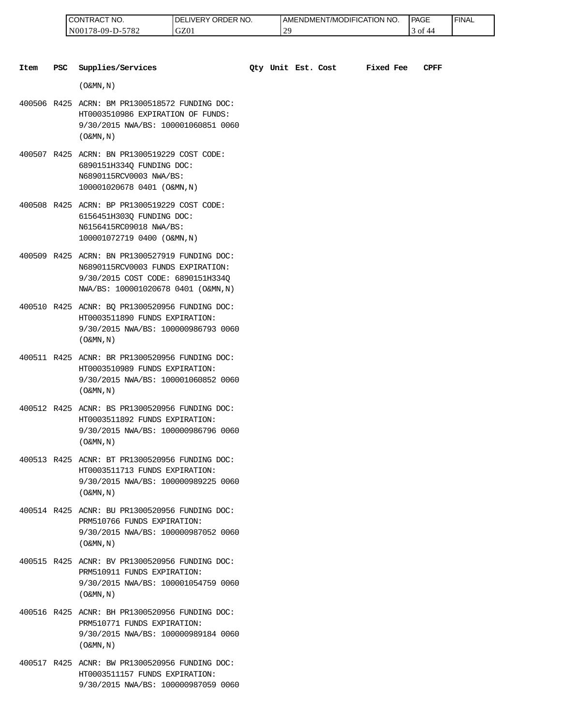| <b>CONTRACT</b><br>'NO.      | ORDER NO.<br>LIVERY<br>DE | <b>I AMENDMENT/MODIFICATION I</b><br>NO. | PAGE       | ' FINAL |
|------------------------------|---------------------------|------------------------------------------|------------|---------|
| 5782<br>N0017<br>$78-09-D-5$ | GZ01                      | $\sim$<br>∼                              | ' 01<br>44 |         |

| Item | <b>PSC</b> | Supplies/Services                                                                                                                                               |  | Qty Unit Est. Cost | <b>Fixed Fee</b> | CPFF |
|------|------------|-----------------------------------------------------------------------------------------------------------------------------------------------------------------|--|--------------------|------------------|------|
|      |            | $($ O&MN, N)                                                                                                                                                    |  |                    |                  |      |
|      |            | 400506 R425 ACRN: BM PR1300518572 FUNDING DOC:<br>HT0003510986 EXPIRATION OF FUNDS:<br>9/30/2015 NWA/BS: 100001060851 0060<br>$($ O&MN, $\overline{N}$ )        |  |                    |                  |      |
|      |            | 400507 R425 ACRN: BN PR1300519229 COST CODE:<br>6890151H334Q FUNDING DOC:<br>N6890115RCV0003 NWA/BS:<br>100001020678 0401 (O&MN, N)                             |  |                    |                  |      |
|      |            | 400508 R425 ACRN: BP PR1300519229 COST CODE:<br>6156451H303Q FUNDING DOC:<br>N6156415RC09018 NWA/BS:<br>100001072719 0400 (O&MN, N)                             |  |                    |                  |      |
|      |            | 400509 R425 ACRN: BN PR1300527919 FUNDING DOC:<br>N6890115RCV0003 FUNDS EXPIRATION:<br>9/30/2015 COST CODE: 6890151H334Q<br>NWA/BS: 100001020678 0401 (O&MN, N) |  |                    |                  |      |
|      |            | 400510 R425 ACNR: BQ PR1300520956 FUNDING DOC:<br>HT0003511890 FUNDS EXPIRATION:<br>9/30/2015 NWA/BS: 100000986793 0060<br>$($ O&MN, $N$ $)$                    |  |                    |                  |      |
|      |            | 400511 R425 ACNR: BR PR1300520956 FUNDING DOC:<br>HT0003510989 FUNDS EXPIRATION:<br>9/30/2015 NWA/BS: 100001060852 0060<br>$($ O&MN, N)                         |  |                    |                  |      |
|      |            | 400512 R425 ACNR: BS PR1300520956 FUNDING DOC:<br>HT0003511892 FUNDS EXPIRATION:<br>9/30/2015 NWA/BS: 100000986796 0060<br>$($ O&MN, N)                         |  |                    |                  |      |
|      |            | 400513 R425 ACNR: BT PR1300520956 FUNDING DOC:<br>HT0003511713 FUNDS EXPIRATION:<br>9/30/2015 NWA/BS: 100000989225 0060<br>$($ O&MN, N)                         |  |                    |                  |      |
|      |            | 400514 R425 ACNR: BU PR1300520956 FUNDING DOC:<br>PRM510766 FUNDS EXPIRATION:<br>9/30/2015 NWA/BS: 100000987052 0060<br>$($ O&MN, $\overline{N}$ )              |  |                    |                  |      |
|      |            | 400515 R425 ACNR: BV PR1300520956 FUNDING DOC:<br>PRM510911 FUNDS EXPIRATION:<br>9/30/2015 NWA/BS: 100001054759 0060<br>$($ O&MN, N)                            |  |                    |                  |      |
|      |            | 400516 R425 ACNR: BH PR1300520956 FUNDING DOC:<br>PRM510771 FUNDS EXPIRATION:<br>9/30/2015 NWA/BS: 100000989184 0060<br>$($ O&MN, N)                            |  |                    |                  |      |

400517 R425 ACNR: BW PR1300520956 FUNDING DOC: HT0003511157 FUNDS EXPIRATION: 9/30/2015 NWA/BS: 100000987059 0060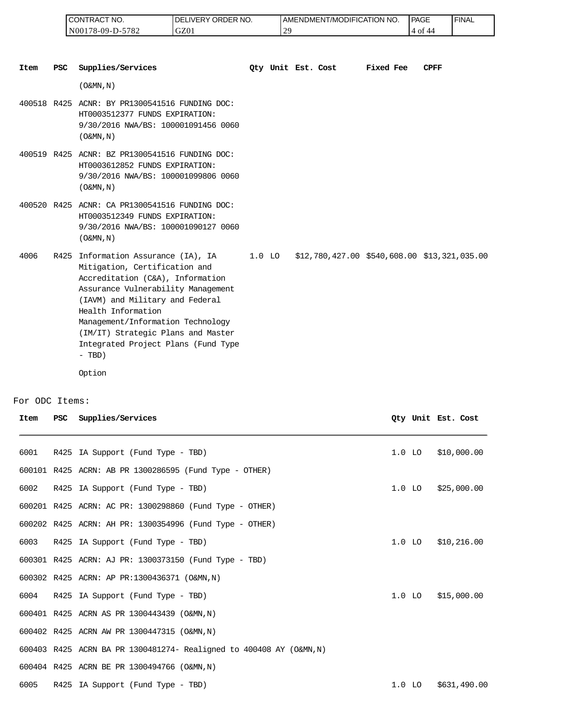| I CONTRACT NO.         | NO.<br>DELIVERY ORDER | ' NO<br>AMENDMENT/MODIFICATION | PAGE        | 'FINAL |
|------------------------|-----------------------|--------------------------------|-------------|--------|
| -5782<br>N00178-09-D-3 | GZ01                  |                                | .4 of<br>44 |        |

| <b>Item</b> | <b>PSC</b> | Supplies/Services                                                                                                                                                                                                                                                                                                                          | Oty Unit Est. Cost |  | Fixed Fee | <b>CPFF</b>                                     |
|-------------|------------|--------------------------------------------------------------------------------------------------------------------------------------------------------------------------------------------------------------------------------------------------------------------------------------------------------------------------------------------|--------------------|--|-----------|-------------------------------------------------|
|             |            | $($ O&MN, N)                                                                                                                                                                                                                                                                                                                               |                    |  |           |                                                 |
|             |            | 400518 R425 ACNR: BY PR1300541516 FUNDING DOC:<br>HT0003512377 FUNDS EXPIRATION:<br>9/30/2016 NWA/BS: 100001091456 0060<br>$(0\&MN, N)$                                                                                                                                                                                                    |                    |  |           |                                                 |
|             |            | 400519 R425 ACNR: BZ PR1300541516 FUNDING DOC:<br>HT0003612852 FUNDS EXPIRATION:<br>9/30/2016 NWA/BS: 100001099806 0060<br>$(0\&MN, N)$                                                                                                                                                                                                    |                    |  |           |                                                 |
|             |            | 400520 R425 ACNR: CA PR1300541516 FUNDING DOC:<br>HT0003512349 FUNDS EXPIRATION:<br>9/30/2016 NWA/BS: 100001090127 0060<br>$($ O&MN, N)                                                                                                                                                                                                    |                    |  |           |                                                 |
| 4006        | R425       | Information Assurance (IA), IA<br>Mitigation, Certification and<br>Accreditation (C&A), Information<br>Assurance Vulnerability Management<br>(IAVM) and Military and Federal<br>Health Information<br>Management/Information Technology<br>(IM/IT) Strategic Plans and Master<br>Integrated Project Plans (Fund Type<br>$- TBD)$<br>Option | $1.0$ LO           |  |           | $$12,780,427.00$ $$540,608.00$ $$13,321,035.00$ |

#### For ODC Items:

| Item | <b>PSC</b> | Supplies/Services                                                   |          | Oty Unit Est. Cost |              |
|------|------------|---------------------------------------------------------------------|----------|--------------------|--------------|
|      |            |                                                                     |          |                    |              |
| 6001 |            | R425 IA Support (Fund Type - TBD)                                   | $1.0$ LO |                    | \$10,000.00  |
|      |            | 600101 R425 ACRN: AB PR 1300286595 (Fund Type - OTHER)              |          |                    |              |
| 6002 |            | R425 IA Support (Fund Type - TBD)                                   | $1.0$ LO |                    | \$25,000.00  |
|      |            | 600201 R425 ACRN: AC PR: 1300298860 (Fund Type - OTHER)             |          |                    |              |
|      |            | 600202 R425 ACRN: AH PR: 1300354996 (Fund Type - OTHER)             |          |                    |              |
| 6003 |            | R425 IA Support (Fund Type - TBD)                                   | $1.0$ LO |                    | \$10,216.00  |
|      |            | 600301 R425 ACRN: AJ PR: 1300373150 (Fund Type - TBD)               |          |                    |              |
|      |            | 600302 R425 ACRN: AP PR:1300436371 (O&MN, N)                        |          |                    |              |
| 6004 |            | R425 IA Support (Fund Type - TBD)                                   |          | $1.0$ LO           | \$15,000.00  |
|      |            | 600401 R425 ACRN AS PR 1300443439 (O&MN, N)                         |          |                    |              |
|      |            | 600402 R425 ACRN AW PR 1300447315 (O&MN, N)                         |          |                    |              |
|      |            | 600403 R425 ACRN BA PR 1300481274- Realigned to 400408 AY (O&MN, N) |          |                    |              |
|      |            | 600404 R425 ACRN BE PR 1300494766 (O&MN, N)                         |          |                    |              |
| 6005 |            | R425 IA Support (Fund Type - TBD)                                   | $1.0$ LO |                    | \$631,490.00 |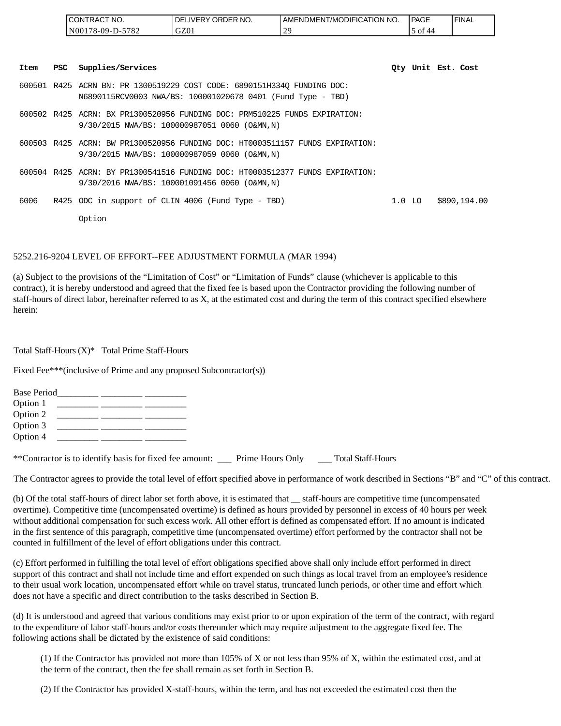|      |            | CONTRACT NO.      | DELIVERY ORDER NO.                                                                                                                     | AMENDMENT/MODIFICATION NO. |          | PAGE               | <b>FINAL</b> |
|------|------------|-------------------|----------------------------------------------------------------------------------------------------------------------------------------|----------------------------|----------|--------------------|--------------|
|      |            | N00178-09-D-5782  | GZ01                                                                                                                                   | 29                         |          | 5 of 44            |              |
| Item | <b>PSC</b> | Supplies/Services |                                                                                                                                        |                            |          | Oty Unit Est. Cost |              |
|      |            |                   | 600501 R425 ACRN BN: PR 1300519229 COST CODE: 6890151H334Q FUNDING DOC:<br>N6890115RCV0003 NWA/BS: 100001020678 0401 (Fund Type - TBD) |                            |          |                    |              |
|      |            |                   | 600502 R425 ACRN: BX PR1300520956 FUNDING DOC: PRM510225 FUNDS EXPIRATION:<br>9/30/2015 NWA/BS: 100000987051 0060 (O&MN,N)             |                            |          |                    |              |
|      |            |                   | 600503 R425 ACRN: BW PR1300520956 FUNDING DOC: HT0003511157 FUNDS EXPIRATION:<br>9/30/2015 NWA/BS: 100000987059 0060 (O&MN,N)          |                            |          |                    |              |
|      |            |                   | 600504 R425 ACRN: BY PR1300541516 FUNDING DOC: HT0003512377 FUNDS EXPIRATION:<br>9/30/2016 NWA/BS: 100001091456 0060 (O&MN,N)          |                            |          |                    |              |
| 6006 |            |                   | R425 ODC in support of CLIN 4006 (Fund Type - TBD)                                                                                     |                            | $1.0$ LO |                    | \$890,194.00 |
|      |            | Option            |                                                                                                                                        |                            |          |                    |              |

#### 5252.216-9204 LEVEL OF EFFORT--FEE ADJUSTMENT FORMULA (MAR 1994)

(a) Subject to the provisions of the "Limitation of Cost" or "Limitation of Funds" clause (whichever is applicable to this contract), it is hereby understood and agreed that the fixed fee is based upon the Contractor providing the following number of staff-hours of direct labor, hereinafter referred to as X, at the estimated cost and during the term of this contract specified elsewhere herein:

Total Staff-Hours (X)\* Total Prime Staff-Hours

Fixed Fee\*\*\*(inclusive of Prime and any proposed Subcontractor(s))

| <b>Base Period</b> |  |  |  |
|--------------------|--|--|--|
| Option 1           |  |  |  |
| Option 2           |  |  |  |
| Option 3           |  |  |  |
| Option 4           |  |  |  |
|                    |  |  |  |

\*\*Contractor is to identify basis for fixed fee amount: \_\_\_ Prime Hours Only \_\_\_ Total Staff-Hours

The Contractor agrees to provide the total level of effort specified above in performance of work described in Sections "B" and "C" of this contract.

(b) Of the total staff-hours of direct labor set forth above, it is estimated that \_\_ staff-hours are competitive time (uncompensated overtime). Competitive time (uncompensated overtime) is defined as hours provided by personnel in excess of 40 hours per week without additional compensation for such excess work. All other effort is defined as compensated effort. If no amount is indicated in the first sentence of this paragraph, competitive time (uncompensated overtime) effort performed by the contractor shall not be counted in fulfillment of the level of effort obligations under this contract.

(c) Effort performed in fulfilling the total level of effort obligations specified above shall only include effort performed in direct support of this contract and shall not include time and effort expended on such things as local travel from an employee's residence to their usual work location, uncompensated effort while on travel status, truncated lunch periods, or other time and effort which does not have a specific and direct contribution to the tasks described in Section B.

(d) It is understood and agreed that various conditions may exist prior to or upon expiration of the term of the contract, with regard to the expenditure of labor staff-hours and/or costs thereunder which may require adjustment to the aggregate fixed fee. The following actions shall be dictated by the existence of said conditions:

(1) If the Contractor has provided not more than 105% of X or not less than 95% of X, within the estimated cost, and at the term of the contract, then the fee shall remain as set forth in Section B.

(2) If the Contractor has provided X-staff-hours, within the term, and has not exceeded the estimated cost then the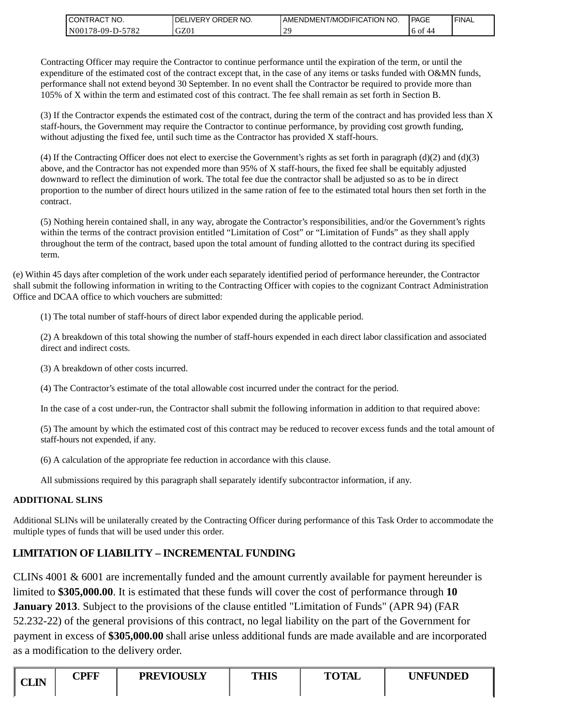| I CONTRACT NO.   | NO.<br>' ORDER<br><b>DELIVERY</b> | AMENDMENT/MODIFICATION NO. | PAGE       | ' FINAL |
|------------------|-----------------------------------|----------------------------|------------|---------|
| N00178-09-D-5782 | GZ01                              | າເ                         | 6 of<br>44 |         |

Contracting Officer may require the Contractor to continue performance until the expiration of the term, or until the expenditure of the estimated cost of the contract except that, in the case of any items or tasks funded with O&MN funds, performance shall not extend beyond 30 September. In no event shall the Contractor be required to provide more than 105% of X within the term and estimated cost of this contract. The fee shall remain as set forth in Section B.

(3) If the Contractor expends the estimated cost of the contract, during the term of the contract and has provided less than X staff-hours, the Government may require the Contractor to continue performance, by providing cost growth funding, without adjusting the fixed fee, until such time as the Contractor has provided X staff-hours.

(4) If the Contracting Officer does not elect to exercise the Government's rights as set forth in paragraph  $(d)(2)$  and  $(d)(3)$ above, and the Contractor has not expended more than 95% of X staff-hours, the fixed fee shall be equitably adjusted downward to reflect the diminution of work. The total fee due the contractor shall be adjusted so as to be in direct proportion to the number of direct hours utilized in the same ration of fee to the estimated total hours then set forth in the contract.

(5) Nothing herein contained shall, in any way, abrogate the Contractor's responsibilities, and/or the Government's rights within the terms of the contract provision entitled "Limitation of Cost" or "Limitation of Funds" as they shall apply throughout the term of the contract, based upon the total amount of funding allotted to the contract during its specified term.

(e) Within 45 days after completion of the work under each separately identified period of performance hereunder, the Contractor shall submit the following information in writing to the Contracting Officer with copies to the cognizant Contract Administration Office and DCAA office to which vouchers are submitted:

(1) The total number of staff-hours of direct labor expended during the applicable period.

(2) A breakdown of this total showing the number of staff-hours expended in each direct labor classification and associated direct and indirect costs.

(3) A breakdown of other costs incurred.

(4) The Contractor's estimate of the total allowable cost incurred under the contract for the period.

In the case of a cost under-run, the Contractor shall submit the following information in addition to that required above:

(5) The amount by which the estimated cost of this contract may be reduced to recover excess funds and the total amount of staff-hours not expended, if any.

(6) A calculation of the appropriate fee reduction in accordance with this clause.

All submissions required by this paragraph shall separately identify subcontractor information, if any.

### **ADDITIONAL SLINS**

Additional SLINs will be unilaterally created by the Contracting Officer during performance of this Task Order to accommodate the multiple types of funds that will be used under this order.

# **LIMITATION OF LIABILITY – INCREMENTAL FUNDING**

CLINs 4001 & 6001 are incrementally funded and the amount currently available for payment hereunder is limited to **\$305,000.00**. It is estimated that these funds will cover the cost of performance through **10 January 2013**. Subject to the provisions of the clause entitled "Limitation of Funds" (APR 94) (FAR 52.232-22) of the general provisions of this contract, no legal liability on the part of the Government for payment in excess of **\$305,000.00** shall arise unless additional funds are made available and are incorporated as a modification to the delivery order. CONTRACT ROO CONTRACT CONTRACT INTO THE CONTRACT CONTRACT INTO THE CONTRACT INTO THE CONTRACT INTO THE CONTRACT INTO THE CONTRACT INTO THE CONTRACT INTO THE CONTRACT INTO THE CONTRACT INTO THE CONTRACT INTO THE CONTRACT IN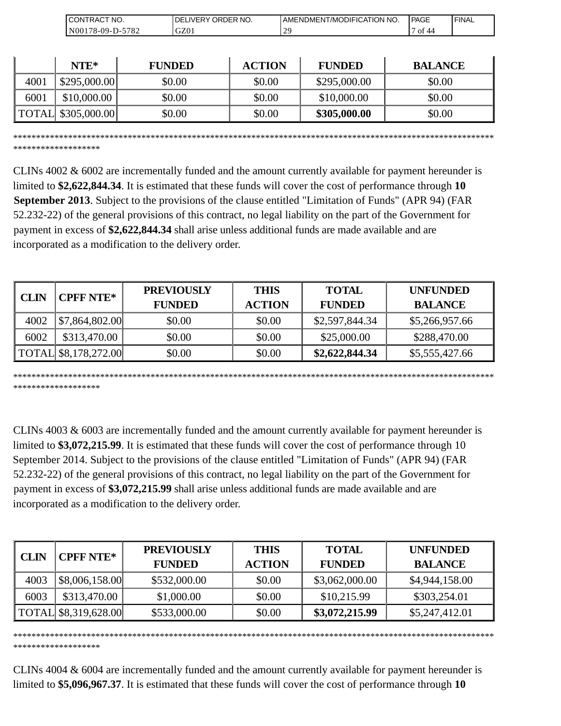| `NO.<br>эN<br>⊺RACT                      | NO.<br>⊀DER<br>∴וΩר<br>חר<br>،VF | T/MODIFICATION<br>'NO.<br>--<br>AMENDMENT | ' PAGE                  | 'FINAL |
|------------------------------------------|----------------------------------|-------------------------------------------|-------------------------|--------|
| 5782<br>. 8-09-Γ<br>N <sub>00</sub><br>. | $\sim$<br>JZUI                   | <u>۔</u>                                  | $\sim$<br>-<br>ΟĪ<br>44 |        |

|      | $NTE*$              | <b>FUNDED</b> | <b>ACTION</b> | <b>FUNDED</b> | <b>BALANCE</b> |
|------|---------------------|---------------|---------------|---------------|----------------|
| 4001 | \$295,000.00]       | \$0.00        | \$0.00        | \$295,000.00  | \$0.00         |
| 6001 | \$10,000.00         | \$0.00        | \$0.00        | \$10,000.00   | \$0.00         |
|      | TOTAL  \$305,000.00 | \$0.00        | \$0.00        | \$305,000.00  | \$0.00         |

\*\*\*\*\*\*\*\*\*\*\*\*\*\*\*\*\*\*\*\*\*\*\*\*\*\*\*\*\*\*\*\*\*\*\*\*\*\*\*\*\*\*\*\*\*\*\*\*\*\*\*\*\*\*\*\*\*\*\*\*\*\*\*\*\*\*\*\*\*\*\*\*\*\*\*\*\*\*\*\*\*\*\*\*\*\*\*\*\*\*\*\*\*\*\*\*\*\*\*\*\*\*\*\*\*

\*\*\*\*\*\*\*\*\*\*\*\*\*\*\*\*\*\*\*

\*\*\*\*\*\*\*\*\*\*\*\*\*\*\*\*\*\*\*

CLINs 4002 & 6002 are incrementally funded and the amount currently available for payment hereunder is limited to **\$2,622,844.34**. It is estimated that these funds will cover the cost of performance through **10 September 2013**. Subject to the provisions of the clause entitled "Limitation of Funds" (APR 94) (FAR 52.232-22) of the general provisions of this contract, no legal liability on the part of the Government for payment in excess of **\$2,622,844.34** shall arise unless additional funds are made available and are incorporated as a modification to the delivery order.

| <b>CLIN</b> | <b>CPFF NTE*</b>                            | <b>PREVIOUSLY</b> | <b>THIS</b>   | <b>TOTAL</b>   | <b>UNFUNDED</b> |
|-------------|---------------------------------------------|-------------------|---------------|----------------|-----------------|
|             |                                             | <b>FUNDED</b>     | <b>ACTION</b> | <b>FUNDED</b>  | <b>BALANCE</b>  |
| 4002        | $\left  \frac{1}{2} \right $ \$7,864,802.00 | \$0.00            | \$0.00        | \$2,597,844.34 | \$5,266,957.66  |
| 6002        | \$313,470.00                                | \$0.00            | \$0.00        | \$25,000.00    | \$288,470.00    |
|             | $\text{TOTAL}$ \$8,178,272.00               | \$0.00            | \$0.00        | \$2,622,844.34 | \$5,555,427.66  |

\*\*\*\*\*\*\*\*\*\*\*\*\*\*\*\*\*\*\*\*\*\*\*\*\*\*\*\*\*\*\*\*\*\*\*\*\*\*\*\*\*\*\*\*\*\*\*\*\*\*\*\*\*\*\*\*\*\*\*\*\*\*\*\*\*\*\*\*\*\*\*\*\*\*\*\*\*\*\*\*\*\*\*\*\*\*\*\*\*\*\*\*\*\*\*\*\*\*\*\*\*\*\*\*\* \*\*\*\*\*\*\*\*\*\*\*\*\*\*\*\*\*\*\*

CLINs 4003 & 6003 are incrementally funded and the amount currently available for payment hereunder is limited to **\$3,072,215.99**. It is estimated that these funds will cover the cost of performance through 10 September 2014. Subject to the provisions of the clause entitled "Limitation of Funds" (APR 94) (FAR 52.232-22) of the general provisions of this contract, no legal liability on the part of the Government for payment in excess of **\$3,072,215.99** shall arise unless additional funds are made available and are incorporated as a modification to the delivery order.

| <b>CLIN</b> | <b>CPFF NTE*</b>     | <b>PREVIOUSLY</b><br><b>FUNDED</b> | <b>THIS</b><br><b>ACTION</b> | <b>TOTAL</b><br><b>FUNDED</b> | <b>UNFUNDED</b><br><b>BALANCE</b> |
|-------------|----------------------|------------------------------------|------------------------------|-------------------------------|-----------------------------------|
| 4003        | \$8,006,158.00       | \$532,000.00                       | \$0.00                       | \$3,062,000.00                | \$4,944,158.00                    |
| 6003        | \$313,470.00         | \$1,000.00                         | \$0.00                       | \$10,215.99                   | \$303,254.01                      |
|             | TOTAL \$8,319,628.00 | \$533,000.00                       | \$0.00                       | \$3,072,215.99                | \$5,247,412.01                    |

CLINs 4004 & 6004 are incrementally funded and the amount currently available for payment hereunder is limited to **\$5,096,967.37**. It is estimated that these funds will cover the cost of performance through **10**

\*\*\*\*\*\*\*\*\*\*\*\*\*\*\*\*\*\*\*\*\*\*\*\*\*\*\*\*\*\*\*\*\*\*\*\*\*\*\*\*\*\*\*\*\*\*\*\*\*\*\*\*\*\*\*\*\*\*\*\*\*\*\*\*\*\*\*\*\*\*\*\*\*\*\*\*\*\*\*\*\*\*\*\*\*\*\*\*\*\*\*\*\*\*\*\*\*\*\*\*\*\*\*\*\*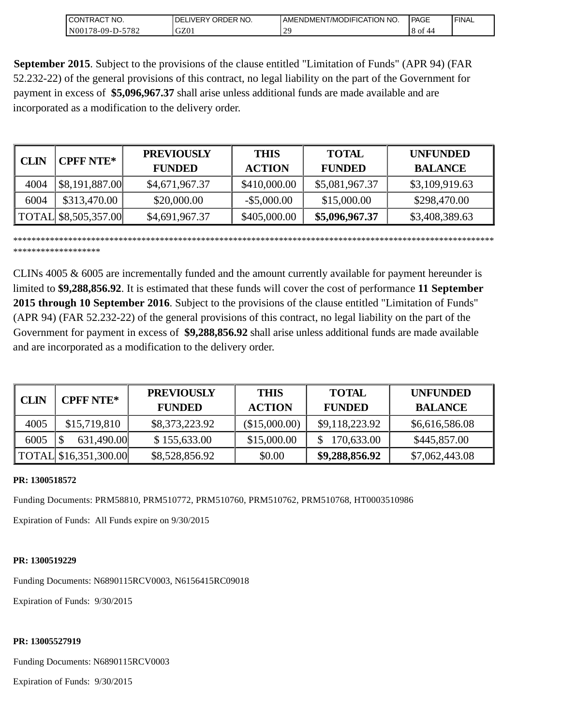| <b>ICONTRACT NO.</b>  | NO.<br>ORDER<br>_IVERY (<br>DEI | ' NO.<br>  AMENDMENT/MODIFICATION_ | PAGE       | ' FINAL |
|-----------------------|---------------------------------|------------------------------------|------------|---------|
| N00178-09-D-5<br>5782 | GZ01                            | $\bigcap$<br>. L                   | 8 of<br>44 |         |

**September 2015**. Subject to the provisions of the clause entitled "Limitation of Funds" (APR 94) (FAR 52.232-22) of the general provisions of this contract, no legal liability on the part of the Government for payment in excess of **\$5,096,967.37** shall arise unless additional funds are made available and are incorporated as a modification to the delivery order.

| <b>CLIN</b> | <b>CPFF NTE*</b>     | <b>PREVIOUSLY</b> | <b>THIS</b>    | <b>TOTAL</b>   | <b>UNFUNDED</b> |
|-------------|----------------------|-------------------|----------------|----------------|-----------------|
|             |                      | <b>FUNDED</b>     | <b>ACTION</b>  | <b>FUNDED</b>  | <b>BALANCE</b>  |
| 4004        | \$8,191,887.00       | \$4,671,967.37    | \$410,000.00   | \$5,081,967.37 | \$3,109,919.63  |
| 6004        | \$313,470.00         | \$20,000.00       | $-$ \$5,000.00 | \$15,000.00    | \$298,470.00    |
|             | TOTAL \$8,505,357.00 | \$4,691,967.37    | \$405,000.00   | \$5,096,967.37 | \$3,408,389.63  |

\*\*\*\*\*\*\*\*\*\*\*\*\*\*\*\*\*\*\*\*\*\*\*\*\*\*\*\*\*\*\*\*\*\*\*\*\*\*\*\*\*\*\*\*\*\*\*\*\*\*\*\*\*\*\*\*\*\*\*\*\*\*\*\*\*\*\*\*\*\*\*\*\*\*\*\*\*\*\*\*\*\*\*\*\*\*\*\*\*\*\*\*\*\*\*\*\*\*\*\*\*\*\*\*\* \*\*\*\*\*\*\*\*\*\*\*\*\*\*\*\*\*\*\*

CLINs 4005 & 6005 are incrementally funded and the amount currently available for payment hereunder is limited to **\$9,288,856.92**. It is estimated that these funds will cover the cost of performance **11 September 2015 through 10 September 2016**. Subject to the provisions of the clause entitled "Limitation of Funds" (APR 94) (FAR 52.232-22) of the general provisions of this contract, no legal liability on the part of the Government for payment in excess of **\$9,288,856.92** shall arise unless additional funds are made available and are incorporated as a modification to the delivery order.

| <b>CLIN</b> | <b>CPFF NTE*</b>      | <b>PREVIOUSLY</b> | <b>THIS</b>   | <b>TOTAL</b>   | <b>UNFUNDED</b> |
|-------------|-----------------------|-------------------|---------------|----------------|-----------------|
|             |                       | <b>FUNDED</b>     | <b>ACTION</b> | <b>FUNDED</b>  | <b>BALANCE</b>  |
| 4005        | \$15,719,810          | \$8,373,223.92    | (\$15,000.00) | \$9,118,223.92 | \$6,616,586.08  |
| 6005        | 631,490.00            | \$155,633.00      | \$15,000.00   | 170,633.00     | \$445,857.00    |
|             | TOTAL \$16,351,300.00 | \$8,528,856.92    | \$0.00        | \$9,288,856.92 | \$7,062,443.08  |

#### **PR: 1300518572**

Funding Documents: PRM58810, PRM510772, PRM510760, PRM510762, PRM510768, HT0003510986

Expiration of Funds: All Funds expire on 9/30/2015

#### **PR: 1300519229**

Funding Documents: N6890115RCV0003, N6156415RC09018

Expiration of Funds: 9/30/2015

### **PR: 13005527919**

Funding Documents: N6890115RCV0003

Expiration of Funds: 9/30/2015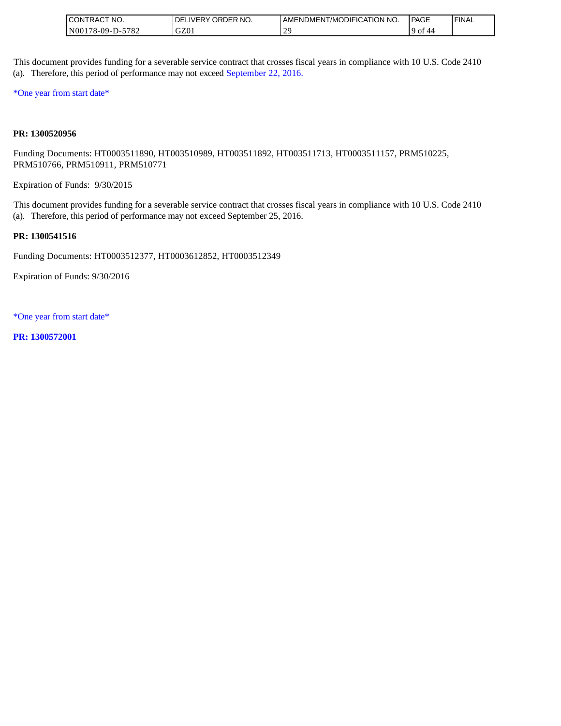| " NO.<br>ICONTRAC,                                           | <b>ORDER</b><br>NO.<br>∟IVERY<br>·DE. | <b>LAMENDMENT/MODIFICATION NO.</b> | l PAGE     | ' FINAL |
|--------------------------------------------------------------|---------------------------------------|------------------------------------|------------|---------|
| 5782<br>1 N <sub>00</sub><br>$^{\circ}$ 178-09-D- $_{\circ}$ | GZ0 <sub>1</sub>                      | $\Delta$ C<br><u>_</u>             | 9 of<br>44 |         |

This document provides funding for a severable service contract that crosses fiscal years in compliance with 10 U.S. Code 2410 (a). Therefore, this period of performance may not exceed September 22, 2016.

\*One year from start date\*

#### **PR: 1300520956**

Funding Documents: HT0003511890, HT003510989, HT003511892, HT003511713, HT0003511157, PRM510225, PRM510766, PRM510911, PRM510771

Expiration of Funds: 9/30/2015

This document provides funding for a severable service contract that crosses fiscal years in compliance with 10 U.S. Code 2410 (a). Therefore, this period of performance may not exceed September 25, 2016.

#### **PR: 1300541516**

Funding Documents: HT0003512377, HT0003612852, HT0003512349

Expiration of Funds: 9/30/2016

\*One year from start date\*

**PR: 1300572001**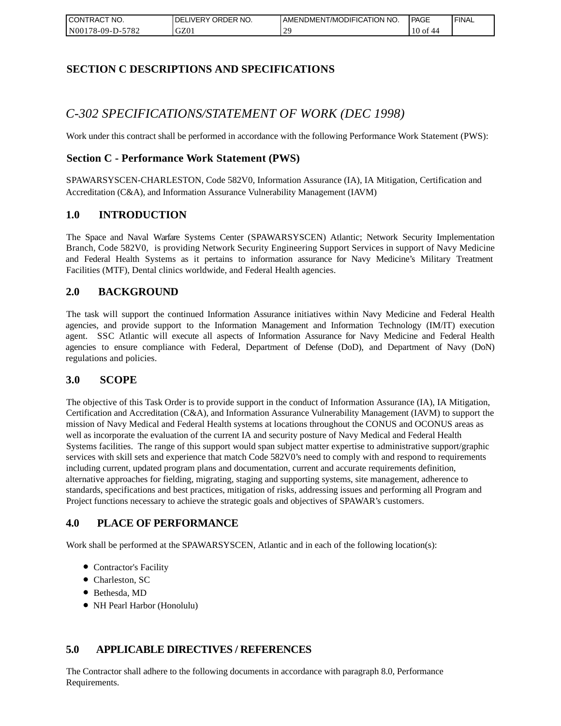| I CONTRACT NO.   | `NO.<br>DELIVERY ORDER | AMENDMENT/MODIFICATION NO. | <b>PAGE</b>   | ' FINAL |
|------------------|------------------------|----------------------------|---------------|---------|
| N00178-09-D-5782 | GZ01                   | າເ                         | $10$ of<br>44 |         |

## **SECTION C DESCRIPTIONS AND SPECIFICATIONS**

## *C-302 SPECIFICATIONS/STATEMENT OF WORK (DEC 1998)*

Work under this contract shall be performed in accordance with the following Performance Work Statement (PWS):

### **Section C - Performance Work Statement (PWS)**

SPAWARSYSCEN-CHARLESTON, Code 582V0, Information Assurance (IA), IA Mitigation, Certification and Accreditation (C&A), and Information Assurance Vulnerability Management (IAVM)

### **1.0 INTRODUCTION**

The Space and Naval Warfare Systems Center (SPAWARSYSCEN) Atlantic; Network Security Implementation Branch, Code 582V0, is providing Network Security Engineering Support Services in support of Navy Medicine and Federal Health Systems as it pertains to information assurance for Navy Medicine's Military Treatment Facilities (MTF), Dental clinics worldwide, and Federal Health agencies.

### **2.0 BACKGROUND**

The task will support the continued Information Assurance initiatives within Navy Medicine and Federal Health agencies, and provide support to the Information Management and Information Technology (IM/IT) execution agent. SSC Atlantic will execute all aspects of Information Assurance for Navy Medicine and Federal Health agencies to ensure compliance with Federal, Department of Defense (DoD), and Department of Navy (DoN) regulations and policies.

### **3.0 SCOPE**

The objective of this Task Order is to provide support in the conduct of Information Assurance (IA), IA Mitigation, Certification and Accreditation (C&A), and Information Assurance Vulnerability Management (IAVM) to support the mission of Navy Medical and Federal Health systems at locations throughout the CONUS and OCONUS areas as well as incorporate the evaluation of the current IA and security posture of Navy Medical and Federal Health Systems facilities. The range of this support would span subject matter expertise to administrative support/graphic services with skill sets and experience that match Code 582V0's need to comply with and respond to requirements including current, updated program plans and documentation, current and accurate requirements definition, alternative approaches for fielding, migrating, staging and supporting systems, site management, adherence to standards, specifications and best practices, mitigation of risks, addressing issues and performing all Program and Project functions necessary to achieve the strategic goals and objectives of SPAWAR's customers.

### **4.0 PLACE OF PERFORMANCE**

Work shall be performed at the SPAWARSYSCEN, Atlantic and in each of the following location(s):

- Contractor's Facility
- Charleston, SC
- Bethesda, MD
- NH Pearl Harbor (Honolulu)

### **5.0 APPLICABLE DIRECTIVES / REFERENCES**

The Contractor shall adhere to the following documents in accordance with paragraph 8.0, Performance Requirements.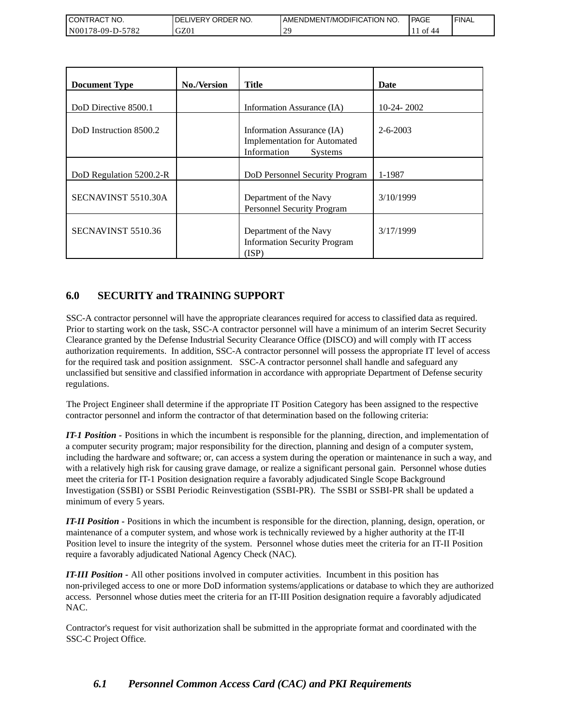| <b>CONTRACT NO.</b>                                | NO.<br>' ORDER<br>DELIVERY | AMENDMENT/MODIFICATION NO. | <b>PAGE</b> | 'FINAL |
|----------------------------------------------------|----------------------------|----------------------------|-------------|--------|
| 5782<br>N <sub>00</sub><br>′8-09-I<br>$\mathbf{L}$ | GZ01                       | วเ                         | Оİ          |        |

| <b>Document Type</b>    | <b>No./Version</b> | <b>Title</b>                                                                                       | Date           |
|-------------------------|--------------------|----------------------------------------------------------------------------------------------------|----------------|
| DoD Directive 8500.1    |                    | Information Assurance (IA)                                                                         | $10-24-2002$   |
| DoD Instruction 8500.2  |                    | Information Assurance (IA)<br><b>Implementation for Automated</b><br>Information<br><b>Systems</b> | $2 - 6 - 2003$ |
| DoD Regulation 5200.2-R |                    | DoD Personnel Security Program                                                                     | 1-1987         |
| SECNAVINST 5510.30A     |                    | Department of the Navy<br>Personnel Security Program                                               | 3/10/1999      |
| SECNAVINST 5510.36      |                    | Department of the Navy<br><b>Information Security Program</b><br>(ISP)                             | 3/17/1999      |

## **6.0 SECURITY and TRAINING SUPPORT**

SSC-A contractor personnel will have the appropriate clearances required for access to classified data as required. Prior to starting work on the task, SSC-A contractor personnel will have a minimum of an interim Secret Security Clearance granted by the Defense Industrial Security Clearance Office (DISCO) and will comply with IT access authorization requirements. In addition, SSC-A contractor personnel will possess the appropriate IT level of access for the required task and position assignment. SSC-A contractor personnel shall handle and safeguard any unclassified but sensitive and classified information in accordance with appropriate Department of Defense security regulations.

The Project Engineer shall determine if the appropriate IT Position Category has been assigned to the respective contractor personnel and inform the contractor of that determination based on the following criteria:

*IT-1 Position -* Positions in which the incumbent is responsible for the planning, direction, and implementation of a computer security program; major responsibility for the direction, planning and design of a computer system, including the hardware and software; or, can access a system during the operation or maintenance in such a way, and with a relatively high risk for causing grave damage, or realize a significant personal gain. Personnel whose duties meet the criteria for IT-1 Position designation require a favorably adjudicated Single Scope Background Investigation (SSBI) or SSBI Periodic Reinvestigation (SSBI-PR). The SSBI or SSBI-PR shall be updated a minimum of every 5 years.

*IT-II Position -* Positions in which the incumbent is responsible for the direction, planning, design, operation, or maintenance of a computer system, and whose work is technically reviewed by a higher authority at the IT-II Position level to insure the integrity of the system. Personnel whose duties meet the criteria for an IT-II Position require a favorably adjudicated National Agency Check (NAC).

*IT-III Position -* All other positions involved in computer activities. Incumbent in this position has non-privileged access to one or more DoD information systems/applications or database to which they are authorized access. Personnel whose duties meet the criteria for an IT-III Position designation require a favorably adjudicated NAC.

Contractor's request for visit authorization shall be submitted in the appropriate format and coordinated with the SSC-C Project Office.

## *6.1 Personnel Common Access Card (CAC) and PKI Requirements*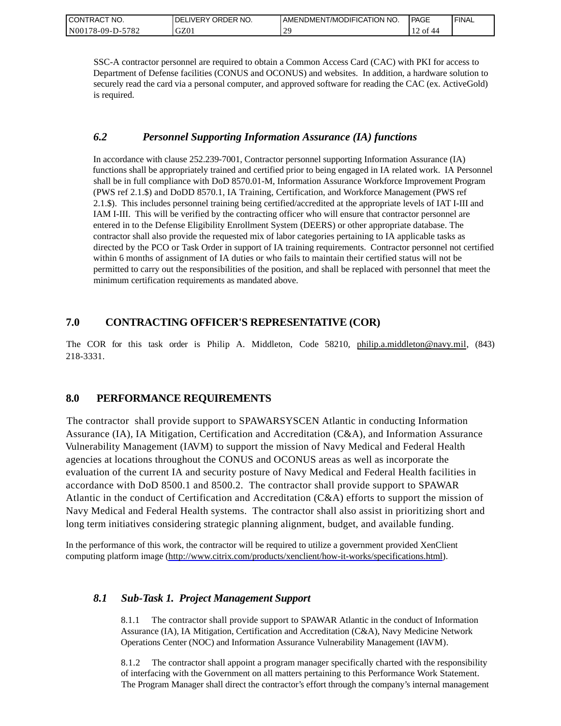| CONTRACT NO.     | ORDER NO.<br><b>DELIVERY</b> | I AMENDMENT/MODIFICATION NO. | PAGE                                    | ' FINAL |
|------------------|------------------------------|------------------------------|-----------------------------------------|---------|
| N00178-09-D-5782 | GZ01                         | $\overline{1}$<br><u>۔</u>   | $'$ of $\sim$<br>- 44<br>$\overline{1}$ |         |

SSC-A contractor personnel are required to obtain a Common Access Card (CAC) with PKI for access to Department of Defense facilities (CONUS and OCONUS) and websites. In addition, a hardware solution to securely read the card via a personal computer, and approved software for reading the CAC (ex. ActiveGold) is required.

### *6.2 Personnel Supporting Information Assurance (IA) functions*

In accordance with clause 252.239-7001, Contractor personnel supporting Information Assurance (IA) functions shall be appropriately trained and certified prior to being engaged in IA related work. IA Personnel shall be in full compliance with DoD 8570.01-M, Information Assurance Workforce Improvement Program (PWS ref 2.1.\$) and DoDD 8570.1, IA Training, Certification, and Workforce Management (PWS ref 2.1.\$). This includes personnel training being certified/accredited at the appropriate levels of IAT I-III and IAM I-III. This will be verified by the contracting officer who will ensure that contractor personnel are entered in to the Defense Eligibility Enrollment System (DEERS) or other appropriate database. The contractor shall also provide the requested mix of labor categories pertaining to IA applicable tasks as directed by the PCO or Task Order in support of IA training requirements. Contractor personnel not certified within 6 months of assignment of IA duties or who fails to maintain their certified status will not be permitted to carry out the responsibilities of the position, and shall be replaced with personnel that meet the minimum certification requirements as mandated above.

## **7.0 CONTRACTING OFFICER'S REPRESENTATIVE (COR)**

The COR for this task order is Philip A. Middleton, Code 58210, [philip.a.middleton@navy.mil,](mailto:cphilip.a.middleton@navy.mil) (843) 218-3331.

## **8.0 PERFORMANCE REQUIREMENTS**

The contractor shall provide support to SPAWARSYSCEN Atlantic in conducting Information Assurance (IA), IA Mitigation, Certification and Accreditation (C&A), and Information Assurance Vulnerability Management (IAVM) to support the mission of Navy Medical and Federal Health agencies at locations throughout the CONUS and OCONUS areas as well as incorporate the evaluation of the current IA and security posture of Navy Medical and Federal Health facilities in accordance with DoD 8500.1 and 8500.2. The contractor shall provide support to SPAWAR Atlantic in the conduct of Certification and Accreditation (C&A) efforts to support the mission of Navy Medical and Federal Health systems. The contractor shall also assist in prioritizing short and long term initiatives considering strategic planning alignment, budget, and available funding.

In the performance of this work, the contractor will be required to utilize a government provided XenClient computing platform image [\(http://www.citrix.com/products/xenclient/how-it-works/specifications.html\)](http://www.citrix.com/products/xenclient/how-it-works/specifications.html).

### *8.1 Sub-Task 1. Project Management Support*

8.1.1 The contractor shall provide support to SPAWAR Atlantic in the conduct of Information Assurance (IA), IA Mitigation, Certification and Accreditation (C&A), Navy Medicine Network Operations Center (NOC) and Information Assurance Vulnerability Management (IAVM).

8.1.2 The contractor shall appoint a program manager specifically charted with the responsibility of interfacing with the Government on all matters pertaining to this Performance Work Statement. The Program Manager shall direct the contractor's effort through the company's internal management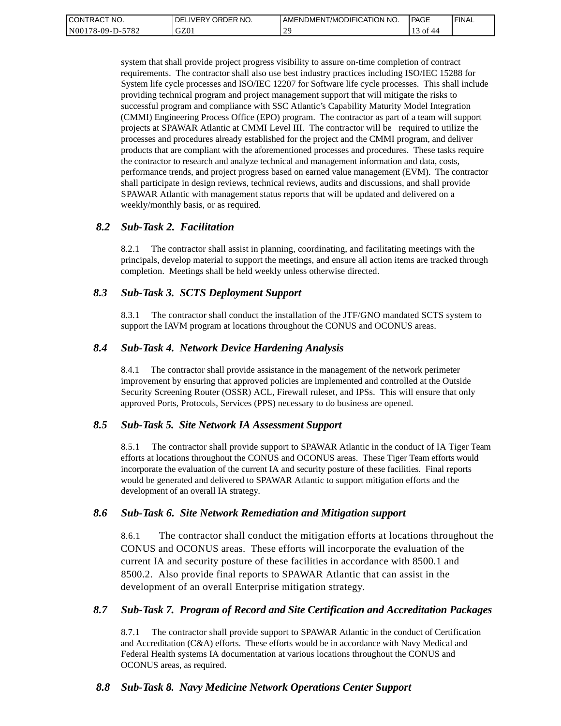| <b>CONTRACT</b><br>" NO. | ' ORDER NO.<br><b>DELIVERY</b> | I AMENDMENT/MODIFICATION NO. | PAGE     | ' FINAL |
|--------------------------|--------------------------------|------------------------------|----------|---------|
| N00178-09-D-5782         | GZ01                           | $\gamma$<br>-                | Οİ<br>44 |         |

system that shall provide project progress visibility to assure on-time completion of contract requirements. The contractor shall also use best industry practices including ISO/IEC 15288 for System life cycle processes and ISO/IEC 12207 for Software life cycle processes. This shall include providing technical program and project management support that will mitigate the risks to successful program and compliance with SSC Atlantic's Capability Maturity Model Integration (CMMI) Engineering Process Office (EPO) program. The contractor as part of a team will support projects at SPAWAR Atlantic at CMMI Level III. The contractor will be required to utilize the processes and procedures already established for the project and the CMMI program, and deliver products that are compliant with the aforementioned processes and procedures. These tasks require the contractor to research and analyze technical and management information and data, costs, performance trends, and project progress based on earned value management (EVM). The contractor shall participate in design reviews, technical reviews, audits and discussions, and shall provide SPAWAR Atlantic with management status reports that will be updated and delivered on a weekly/monthly basis, or as required.

### *8.2 Sub-Task 2. Facilitation*

8.2.1 The contractor shall assist in planning, coordinating, and facilitating meetings with the principals, develop material to support the meetings, and ensure all action items are tracked through completion. Meetings shall be held weekly unless otherwise directed.

### *8.3 Sub-Task 3. SCTS Deployment Support*

8.3.1 The contractor shall conduct the installation of the JTF/GNO mandated SCTS system to support the IAVM program at locations throughout the CONUS and OCONUS areas.

### *8.4 Sub-Task 4. Network Device Hardening Analysis*

8.4.1 The contractor shall provide assistance in the management of the network perimeter improvement by ensuring that approved policies are implemented and controlled at the Outside Security Screening Router (OSSR) ACL, Firewall ruleset, and IPSs. This will ensure that only approved Ports, Protocols, Services (PPS) necessary to do business are opened.

### *8.5 Sub-Task 5. Site Network IA Assessment Support*

8.5.1 The contractor shall provide support to SPAWAR Atlantic in the conduct of IA Tiger Team efforts at locations throughout the CONUS and OCONUS areas. These Tiger Team efforts would incorporate the evaluation of the current IA and security posture of these facilities. Final reports would be generated and delivered to SPAWAR Atlantic to support mitigation efforts and the development of an overall IA strategy.

#### *8.6 Sub-Task 6. Site Network Remediation and Mitigation support*

8.6.1 The contractor shall conduct the mitigation efforts at locations throughout the CONUS and OCONUS areas. These efforts will incorporate the evaluation of the current IA and security posture of these facilities in accordance with 8500.1 and 8500.2. Also provide final reports to SPAWAR Atlantic that can assist in the development of an overall Enterprise mitigation strategy.

#### *8.7 Sub-Task 7. Program of Record and Site Certification and Accreditation Packages*

8.7.1 The contractor shall provide support to SPAWAR Atlantic in the conduct of Certification and Accreditation (C&A) efforts. These efforts would be in accordance with Navy Medical and Federal Health systems IA documentation at various locations throughout the CONUS and OCONUS areas, as required.

### *8.8 Sub-Task 8. Navy Medicine Network Operations Center Support*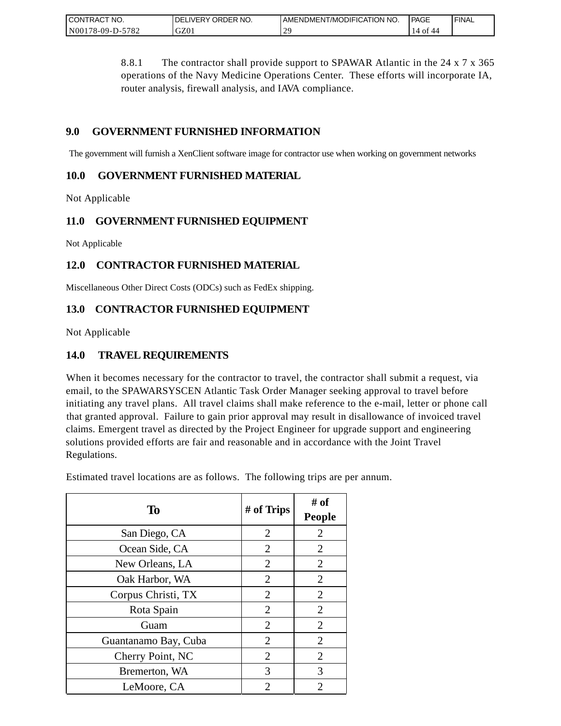| <b>CONTRACT</b><br>" NO.    | ORDER NO.<br><b>DELIVERY</b> | I AMENDMENT/MODIFICATION NO. | PAGE             | <b>FINAL</b> |
|-----------------------------|------------------------------|------------------------------|------------------|--------------|
| $-5782$<br>N00<br>/8-09-D-5 | GZ0                          | $\bigcap$<br><b>_</b>        | 44<br>14<br>. UI |              |

8.8.1 The contractor shall provide support to SPAWAR Atlantic in the 24 x 7 x 365 operations of the Navy Medicine Operations Center. These efforts will incorporate IA, router analysis, firewall analysis, and IAVA compliance.

## **9.0 GOVERNMENT FURNISHED INFORMATION**

The government will furnish a XenClient software image for contractor use when working on government networks

## **10.0 GOVERNMENT FURNISHED MATERIAL**

Not Applicable

## **11.0 GOVERNMENT FURNISHED EQUIPMENT**

Not Applicable

## **12.0 CONTRACTOR FURNISHED MATERIAL**

Miscellaneous Other Direct Costs (ODCs) such as FedEx shipping.

## **13.0 CONTRACTOR FURNISHED EQUIPMENT**

Not Applicable

## **14.0 TRAVEL REQUIREMENTS**

When it becomes necessary for the contractor to travel, the contractor shall submit a request, via email, to the SPAWARSYSCEN Atlantic Task Order Manager seeking approval to travel before initiating any travel plans. All travel claims shall make reference to the e-mail, letter or phone call that granted approval. Failure to gain prior approval may result in disallowance of invoiced travel claims. Emergent travel as directed by the Project Engineer for upgrade support and engineering solutions provided efforts are fair and reasonable and in accordance with the Joint Travel Regulations.

Estimated travel locations are as follows. The following trips are per annum.

| To                   | # of Trips     | # of<br><b>People</b> |
|----------------------|----------------|-----------------------|
| San Diego, CA        | $\overline{2}$ | $\overline{2}$        |
| Ocean Side, CA       | $\overline{2}$ | $\overline{2}$        |
| New Orleans, LA      | 2              | 2                     |
| Oak Harbor, WA       | $\overline{2}$ | $\overline{2}$        |
| Corpus Christi, TX   | 2              | $\overline{2}$        |
| Rota Spain           | $\overline{2}$ | $\overline{2}$        |
| Guam                 | $\overline{2}$ | $\overline{2}$        |
| Guantanamo Bay, Cuba | $\overline{2}$ | $\overline{2}$        |
| Cherry Point, NC     | $\overline{2}$ | $\overline{2}$        |
| Bremerton, WA        | 3              | 3                     |
| LeMoore, CA          | 2              | 2                     |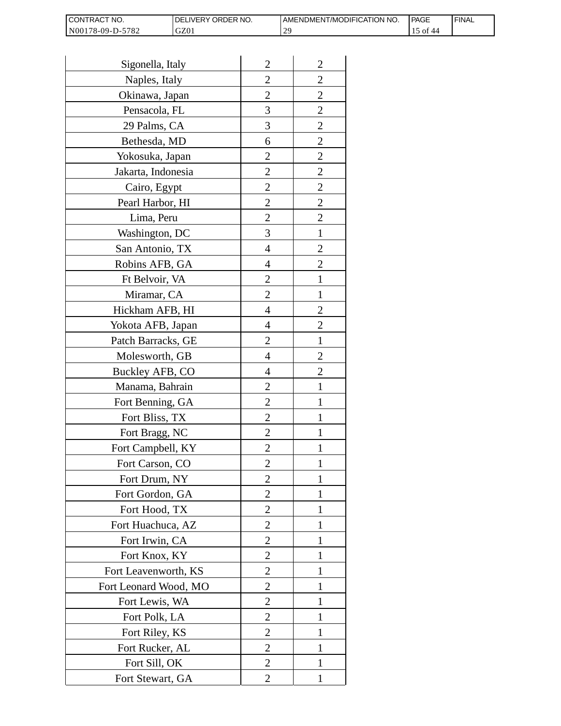| I CONTRACT NO.   | <b>IDELIVERY ORDER NO.</b> | AMENDMENT/MODIFICATION NO. | PAGE      | 'FINAL |
|------------------|----------------------------|----------------------------|-----------|--------|
| N00178-09-D-5782 | GZ01                       | nG.                        | of<br>-44 |        |

| Sigonella, Italy      | $\overline{2}$ | $\overline{2}$ |
|-----------------------|----------------|----------------|
| Naples, Italy         | $\overline{c}$ | $\overline{c}$ |
| Okinawa, Japan        | $\overline{c}$ | $\overline{c}$ |
| Pensacola, FL         | 3              | $\overline{c}$ |
| 29 Palms, CA          | 3              | $\overline{2}$ |
| Bethesda, MD          | 6              | $\overline{2}$ |
| Yokosuka, Japan       | 2              | $\overline{c}$ |
| Jakarta, Indonesia    | $\overline{c}$ | $\overline{c}$ |
| Cairo, Egypt          | $\overline{c}$ | $\overline{c}$ |
| Pearl Harbor, HI      | $\overline{2}$ | $\overline{2}$ |
| Lima, Peru            | $\overline{c}$ | $\overline{2}$ |
| Washington, DC        | 3              | $\mathbf{1}$   |
| San Antonio, TX       | 4              | $\overline{c}$ |
| Robins AFB, GA        | 4              | $\overline{c}$ |
| Ft Belvoir, VA        | $\overline{c}$ | $\mathbf{1}$   |
| Miramar, CA           | $\overline{2}$ | 1              |
| Hickham AFB, HI       | 4              | $\overline{2}$ |
| Yokota AFB, Japan     | 4              | $\overline{c}$ |
| Patch Barracks, GE    | $\overline{2}$ | $\mathbf{1}$   |
| Molesworth, GB        | 4              | $\overline{2}$ |
| Buckley AFB, CO       | 4              | $\overline{c}$ |
| Manama, Bahrain       | $\overline{c}$ | $\mathbf{1}$   |
| Fort Benning, GA      | $\overline{c}$ | 1              |
| Fort Bliss, TX        | $\overline{c}$ | 1              |
| Fort Bragg, NC        | $\overline{2}$ | 1              |
| Fort Campbell, KY     | $\overline{c}$ |                |
| Fort Carson, CO       | $\overline{c}$ | 1              |
| Fort Drum, NY         | $\overline{2}$ | 1              |
| Fort Gordon, GA       | $\overline{2}$ | 1              |
| Fort Hood, TX         | $\overline{2}$ | I              |
| Fort Huachuca, AZ     | 2              | 1              |
| Fort Irwin, CA        | $\overline{c}$ | 1              |
| Fort Knox, KY         | $\overline{c}$ | 1              |
| Fort Leavenworth, KS  | $\overline{2}$ | $\mathbf{1}$   |
| Fort Leonard Wood, MO | $\overline{2}$ | 1              |
| Fort Lewis, WA        | 2              | 1              |
| Fort Polk, LA         | 2              | 1              |
| Fort Riley, KS        | $\overline{c}$ | 1              |
| Fort Rucker, AL       | $\overline{c}$ | 1              |
| Fort Sill, OK         | 2              | 1              |
| Fort Stewart, GA      | 2              | 1              |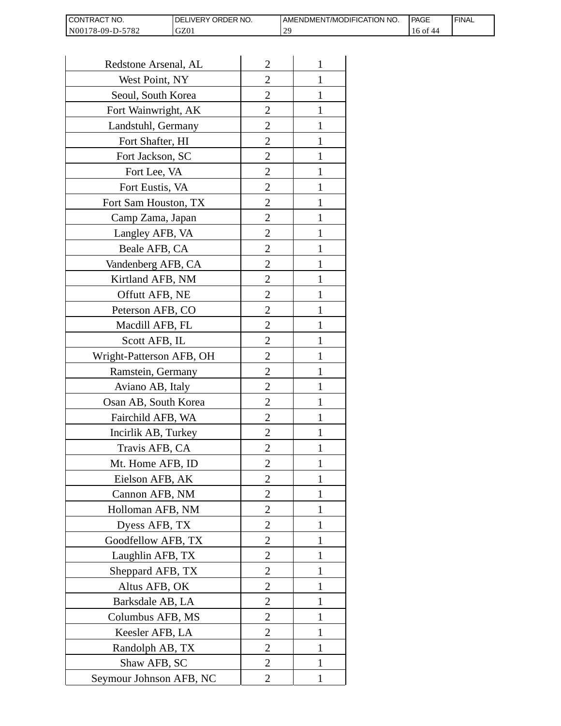| I CONTRACT NO.   | <b>IDELIVERY ORDER NO.</b> | AMENDMENT/MODIFICATION NO. | PAGE                   | ' FINAL |
|------------------|----------------------------|----------------------------|------------------------|---------|
| N00178-09-D-5782 | GZ01                       | <u>າເ</u>                  | $16$ of $\cdot$<br>-44 |         |

| Redstone Arsenal, AL     | $\overline{2}$   | 1            |
|--------------------------|------------------|--------------|
| West Point, NY           | $\overline{2}$   | 1            |
| Seoul, South Korea       | 2                | 1            |
| Fort Wainwright, AK      | 2                | 1            |
| Landstuhl, Germany       | $\overline{c}$   | 1            |
| Fort Shafter, HI         | $\overline{c}$   | 1            |
| Fort Jackson, SC         | 2                | 1            |
| Fort Lee, VA             | $\overline{c}$   | 1            |
| Fort Eustis, VA          | $\overline{c}$   | 1            |
| Fort Sam Houston, TX     | $\overline{2}$   | $\mathbf{1}$ |
| Camp Zama, Japan         | $\overline{2}$   | 1            |
| Langley AFB, VA          | 2                | 1            |
| Beale AFB, CA            | $\overline{2}$   | 1            |
| Vandenberg AFB, CA       | $\overline{c}$   | 1            |
| Kirtland AFB, NM         | $\overline{c}$   | 1            |
| Offutt AFB, NE           | $\overline{2}$   | 1            |
| Peterson AFB, CO         | $\overline{2}$   | 1            |
| Macdill AFB, FL          | 2                | 1            |
| Scott AFB, IL            | 2                | 1            |
| Wright-Patterson AFB, OH | $\overline{c}$   | 1            |
| Ramstein, Germany        | $\overline{c}$   | 1            |
| Aviano AB, Italy         | $\overline{2}$   | 1            |
| Osan AB, South Korea     | $\overline{c}$   | 1            |
| Fairchild AFB, WA        | 2                | 1            |
| Incirlik AB, Turkey      | $\overline{2}$   | 1            |
| Travis AFB, CA           | $\overline{c}$   |              |
| Mt. Home AFB, ID         | $\overline{2}$   |              |
| Eielson AFB, AK          | $\overline{2}$   | $\mathbf{1}$ |
| Cannon AFB, NM           | $\overline{2}$   | 1            |
| Holloman AFB, NM         | $\overline{2}$   | 1            |
| Dyess AFB, TX            | 2                | 1            |
| Goodfellow AFB, TX       | $\overline{c}$   | 1            |
| Laughlin AFB, TX         | $\overline{c}$   | 1            |
| Sheppard AFB, TX         | $\overline{2}$   | 1            |
| Altus AFB, OK            | $\overline{2}$   | 1            |
| Barksdale AB, LA         | $\boldsymbol{2}$ | 1            |
| Columbus AFB, MS         | $\overline{2}$   | 1            |
| Keesler AFB, LA          | $\overline{2}$   | 1            |
| Randolph AB, TX          | $\overline{c}$   | 1            |
| Shaw AFB, SC             | $\overline{2}$   | 1            |
| Seymour Johnson AFB, NC  | 2                | 1            |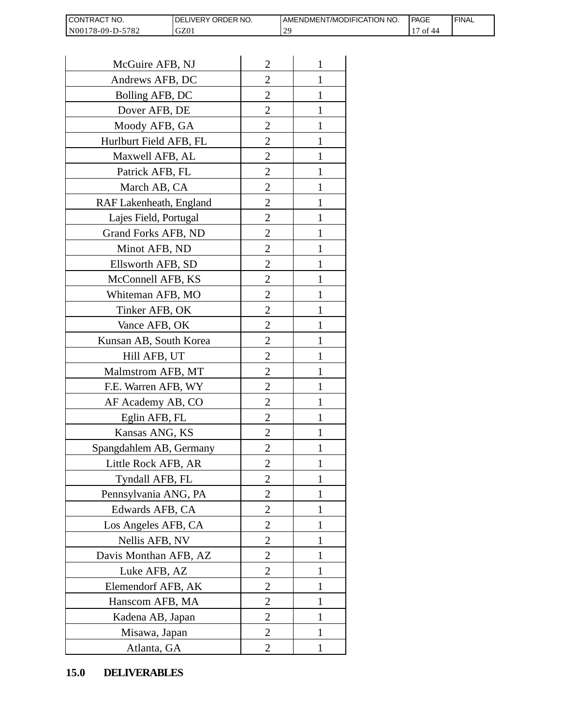| <b>CON</b><br>NO.<br>I RAC    | ORDER NO.<br><b>NERY</b> | T/MODIFICATION NO.<br>AMENDMEN! | PAGE | <b>FINAL</b> |
|-------------------------------|--------------------------|---------------------------------|------|--------------|
| N0017<br>5782<br>78-09-L<br>. | GZ01                     | $\Delta$ C<br><u>_</u>          | O1   |              |

| CONTRACT NO.<br>N00178-09-D-5782 | DELIVERY ORDER NO.<br>GZ01 |                | AMENDMENT/MOI<br>29 |
|----------------------------------|----------------------------|----------------|---------------------|
|                                  |                            |                |                     |
| McGuire AFB, NJ                  |                            | $\overline{2}$ | 1                   |
| Andrews AFB, DC                  |                            | 2              | 1                   |
| Bolling AFB, DC                  |                            | $\overline{c}$ | 1                   |
| Dover AFB, DE                    |                            | $\overline{2}$ | 1                   |
| Moody AFB, GA                    |                            | $\overline{2}$ | $\mathbf{1}$        |
| Hurlburt Field AFB, FL           |                            | 2              | 1                   |
| Maxwell AFB, AL                  |                            | $\overline{2}$ | 1                   |
| Patrick AFB, FL                  |                            | $\overline{c}$ | 1                   |
| March AB, CA                     |                            | $\overline{c}$ | 1                   |
| RAF Lakenheath, England          |                            | $\overline{2}$ | $\mathbf{1}$        |
| Lajes Field, Portugal            |                            | $\overline{2}$ | 1                   |
| Grand Forks AFB, ND              |                            | $\overline{2}$ | 1                   |
| Minot AFB, ND                    |                            | $\overline{2}$ | $\mathbf{1}$        |
| Ellsworth AFB, SD                |                            | $\overline{c}$ | 1                   |
| McConnell AFB, KS                |                            | $\overline{c}$ | 1                   |
| Whiteman AFB, MO                 |                            | $\overline{2}$ | 1                   |
| Tinker AFB, OK                   |                            | $\overline{2}$ | 1                   |
| Vance AFB, OK                    |                            | 2              | 1                   |
| Kunsan AB, South Korea           |                            | $\overline{2}$ | 1                   |
| Hill AFB, UT                     |                            | $\overline{c}$ | 1                   |
| Malmstrom AFB, MT                |                            | 2              | 1                   |
| F.E. Warren AFB, WY              |                            | $\overline{2}$ | $\mathbf{1}$        |
| AF Academy AB, CO                |                            | $\overline{2}$ | $\mathbf{1}$        |
| Eglin AFB, FL                    |                            | $\overline{2}$ | 1                   |
| Kansas ANG, KS                   |                            | $\overline{c}$ |                     |
| Spangdahlem AB, Germany          |                            | 2              | 1                   |
| Little Rock AFB, AR              |                            | $\overline{c}$ | 1                   |
| Tyndall AFB, FL                  |                            | $\overline{c}$ | $\mathbf{1}$        |
| Pennsylvania ANG, PA             |                            | $\overline{2}$ | 1                   |
| Edwards AFB, CA                  |                            | 2              | 1                   |
| Los Angeles AFB, CA              |                            | 2              | 1                   |
| Nellis AFB, NV                   |                            | $\overline{2}$ | 1                   |
| Davis Monthan AFB, AZ            |                            | $\overline{c}$ | 1                   |
| Luke AFB, AZ                     |                            | $\overline{2}$ | 1                   |
| Elemendorf AFB, AK               |                            | 2              | 1                   |
| Hanscom AFB, MA                  |                            | 2              | 1                   |
| Kadena AB, Japan                 |                            | 2              | 1                   |
| Misawa, Japan                    |                            | $\overline{c}$ | 1                   |
| Atlanta, GA                      |                            | $\overline{2}$ | 1                   |
| <b>DELIVERABLES</b><br>15.0      |                            |                |                     |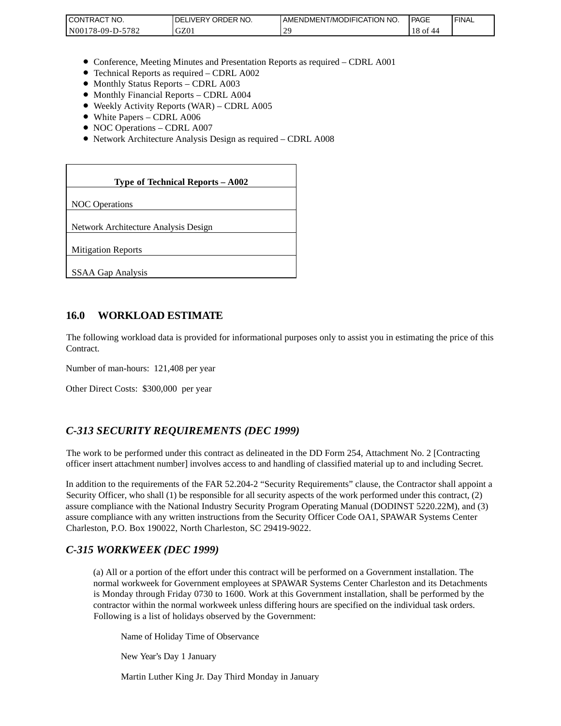| CONTRACT<br>'NO.                | NO.<br><b>ORDER</b><br><b>DELIVERY</b> | AMENDMENT/MODIFICATION NO. | <b>PAGE</b>     | 'FINAL |
|---------------------------------|----------------------------------------|----------------------------|-----------------|--------|
| 5700<br>N00<br>78-09-D-.<br>104 | $\sim$<br>UZU.                         | $\mathcal{L}$              | $\sim$<br>10 OI |        |

- Conference, Meeting Minutes and Presentation Reports as required CDRL A001
- Technical Reports as required CDRL A002
- Monthly Status Reports CDRL A003
- Monthly Financial Reports CDRL A004
- Weekly Activity Reports (WAR) CDRL A005
- White Papers CDRL A006
- NOC Operations CDRL A007
- Network Architecture Analysis Design as required CDRL A008

| CONTRACT NO.<br>N00178-09-D-5782                                                                                                                                                                                                                                                                                                                                 | DELIVERY ORDER NO.<br>GZ01                                                                                                                                                                                                                                                                                              | AMENDME<br>29 |
|------------------------------------------------------------------------------------------------------------------------------------------------------------------------------------------------------------------------------------------------------------------------------------------------------------------------------------------------------------------|-------------------------------------------------------------------------------------------------------------------------------------------------------------------------------------------------------------------------------------------------------------------------------------------------------------------------|---------------|
|                                                                                                                                                                                                                                                                                                                                                                  |                                                                                                                                                                                                                                                                                                                         |               |
| • Monthly Status Reports - CDRL A003<br>• Monthly Financial Reports - CDRL A004<br>• White Papers - CDRL A006<br>• NOC Operations - CDRL A007                                                                                                                                                                                                                    | • Conference, Meeting Minutes and Presentation Reports as rec<br>• Technical Reports as required – CDRL A002<br>• Weekly Activity Reports (WAR) - CDRL A005<br>• Network Architecture Analysis Design as required - CDRL A                                                                                              |               |
|                                                                                                                                                                                                                                                                                                                                                                  |                                                                                                                                                                                                                                                                                                                         |               |
|                                                                                                                                                                                                                                                                                                                                                                  | Type of Technical Reports - A002                                                                                                                                                                                                                                                                                        |               |
| <b>NOC</b> Operations                                                                                                                                                                                                                                                                                                                                            |                                                                                                                                                                                                                                                                                                                         |               |
| Network Architecture Analysis Design                                                                                                                                                                                                                                                                                                                             |                                                                                                                                                                                                                                                                                                                         |               |
| <b>Mitigation Reports</b>                                                                                                                                                                                                                                                                                                                                        |                                                                                                                                                                                                                                                                                                                         |               |
| <b>SSAA Gap Analysis</b>                                                                                                                                                                                                                                                                                                                                         |                                                                                                                                                                                                                                                                                                                         |               |
|                                                                                                                                                                                                                                                                                                                                                                  |                                                                                                                                                                                                                                                                                                                         |               |
| 16.0<br><b>WORKLOAD ESTIMATE</b>                                                                                                                                                                                                                                                                                                                                 |                                                                                                                                                                                                                                                                                                                         |               |
| The following workload data is provided for informational purposes<br>Contract.                                                                                                                                                                                                                                                                                  |                                                                                                                                                                                                                                                                                                                         |               |
| Number of man-hours: 121,408 per year                                                                                                                                                                                                                                                                                                                            |                                                                                                                                                                                                                                                                                                                         |               |
| Other Direct Costs: \$300,000 per year                                                                                                                                                                                                                                                                                                                           |                                                                                                                                                                                                                                                                                                                         |               |
|                                                                                                                                                                                                                                                                                                                                                                  |                                                                                                                                                                                                                                                                                                                         |               |
| C-313 SECURITY REQUIREMENTS (DEC 1999)                                                                                                                                                                                                                                                                                                                           |                                                                                                                                                                                                                                                                                                                         |               |
| The work to be performed under this contract as delineated in the DI<br>officer insert attachment number] involves access to and handling of o                                                                                                                                                                                                                   |                                                                                                                                                                                                                                                                                                                         |               |
| In addition to the requirements of the FAR 52.204-2 "Security Requi<br>Security Officer, who shall (1) be responsible for all security aspects of<br>assure compliance with the National Industry Security Program Oper<br>assure compliance with any written instructions from the Security Of<br>Charleston, P.O. Box 190022, North Charleston, SC 29419-9022. |                                                                                                                                                                                                                                                                                                                         |               |
| C-315 WORKWEEK (DEC 1999)                                                                                                                                                                                                                                                                                                                                        |                                                                                                                                                                                                                                                                                                                         |               |
|                                                                                                                                                                                                                                                                                                                                                                  | (a) All or a portion of the effort under this contract will be per<br>normal workweek for Government employees at SPAWAR Sy<br>is Monday through Friday 0730 to 1600. Work at this Gover<br>contractor within the normal workweek unless differing hours<br>Following is a list of holidays observed by the Government: |               |
|                                                                                                                                                                                                                                                                                                                                                                  | Name of Holiday Time of Observance                                                                                                                                                                                                                                                                                      |               |
| New Year's Day 1 January                                                                                                                                                                                                                                                                                                                                         |                                                                                                                                                                                                                                                                                                                         |               |
|                                                                                                                                                                                                                                                                                                                                                                  | Martin Luther King Jr. Day Third Monday in January                                                                                                                                                                                                                                                                      |               |

### **16.0 WORKLOAD ESTIMATE**

The following workload data is provided for informational purposes only to assist you in estimating the price of this Contract.

### *C-313 SECURITY REQUIREMENTS (DEC 1999)*

The work to be performed under this contract as delineated in the DD Form 254, Attachment No. 2 [Contracting officer insert attachment number] involves access to and handling of classified material up to and including Secret.

In addition to the requirements of the FAR 52.204-2 "Security Requirements" clause, the Contractor shall appoint a Security Officer, who shall (1) be responsible for all security aspects of the work performed under this contract, (2) assure compliance with the National Industry Security Program Operating Manual (DODINST 5220.22M), and (3) assure compliance with any written instructions from the Security Officer Code OA1, SPAWAR Systems Center Charleston, P.O. Box 190022, North Charleston, SC 29419-9022.

### *C-315 WORKWEEK (DEC 1999)*

(a) All or a portion of the effort under this contract will be performed on a Government installation. The normal workweek for Government employees at SPAWAR Systems Center Charleston and its Detachments is Monday through Friday 0730 to 1600. Work at this Government installation, shall be performed by the contractor within the normal workweek unless differing hours are specified on the individual task orders. Following is a list of holidays observed by the Government: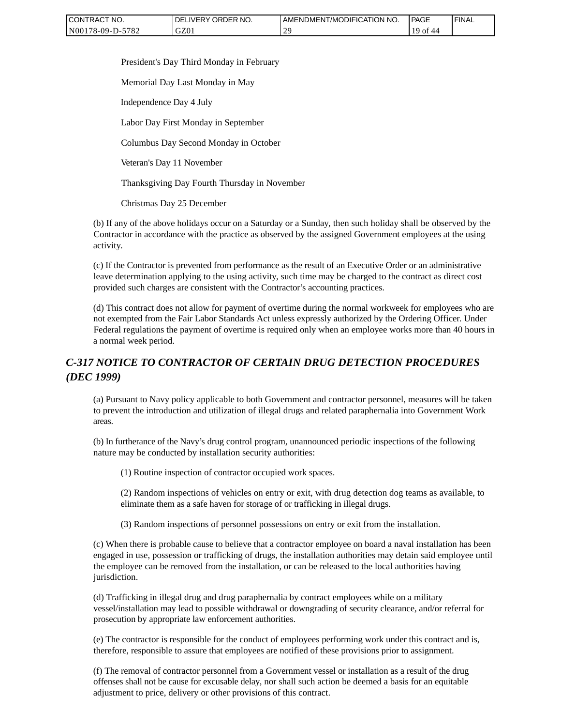| CONTRACT NO.     | ' ORDER NO.<br><b>DELIVERY</b> | AMENDMENT/MODIFICATION<br>'NO. | <b>PAGE</b> | ' FINAL |
|------------------|--------------------------------|--------------------------------|-------------|---------|
| N00178-09-D-5782 | GZ01                           | n c                            | -ot<br>44   |         |

President's Day Third Monday in February

Memorial Day Last Monday in May

Independence Day 4 July

Labor Day First Monday in September

Columbus Day Second Monday in October

Veteran's Day 11 November

Thanksgiving Day Fourth Thursday in November

Christmas Day 25 December

(b) If any of the above holidays occur on a Saturday or a Sunday, then such holiday shall be observed by the Contractor in accordance with the practice as observed by the assigned Government employees at the using activity.

(c) If the Contractor is prevented from performance as the result of an Executive Order or an administrative leave determination applying to the using activity, such time may be charged to the contract as direct cost provided such charges are consistent with the Contractor's accounting practices.

(d) This contract does not allow for payment of overtime during the normal workweek for employees who are not exempted from the Fair Labor Standards Act unless expressly authorized by the Ordering Officer. Under Federal regulations the payment of overtime is required only when an employee works more than 40 hours in a normal week period.

## *C-317 NOTICE TO CONTRACTOR OF CERTAIN DRUG DETECTION PROCEDURES (DEC 1999)*

(a) Pursuant to Navy policy applicable to both Government and contractor personnel, measures will be taken to prevent the introduction and utilization of illegal drugs and related paraphernalia into Government Work areas.

(b) In furtherance of the Navy's drug control program, unannounced periodic inspections of the following nature may be conducted by installation security authorities:

(1) Routine inspection of contractor occupied work spaces.

(2) Random inspections of vehicles on entry or exit, with drug detection dog teams as available, to eliminate them as a safe haven for storage of or trafficking in illegal drugs.

(3) Random inspections of personnel possessions on entry or exit from the installation.

(c) When there is probable cause to believe that a contractor employee on board a naval installation has been engaged in use, possession or trafficking of drugs, the installation authorities may detain said employee until the employee can be removed from the installation, or can be released to the local authorities having jurisdiction.

(d) Trafficking in illegal drug and drug paraphernalia by contract employees while on a military vessel/installation may lead to possible withdrawal or downgrading of security clearance, and/or referral for prosecution by appropriate law enforcement authorities.

(e) The contractor is responsible for the conduct of employees performing work under this contract and is, therefore, responsible to assure that employees are notified of these provisions prior to assignment.

(f) The removal of contractor personnel from a Government vessel or installation as a result of the drug offenses shall not be cause for excusable delay, nor shall such action be deemed a basis for an equitable adjustment to price, delivery or other provisions of this contract.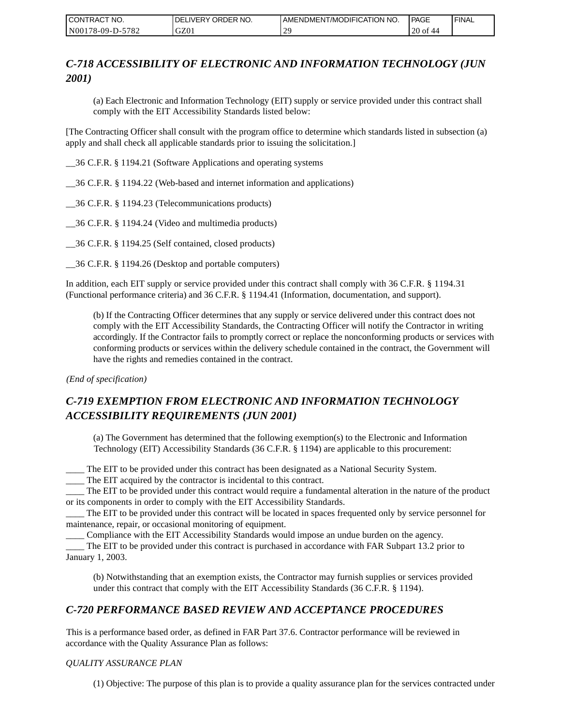| CONTRACT NO.     | <b>IDELIVERY ORDER NO.</b> | AMENDMENT/MODIFICATION NO. | <b>PAGE</b> | ' FINAL |
|------------------|----------------------------|----------------------------|-------------|---------|
| N00178-09-D-5782 | GZ01                       | n c                        | 20 of 44    |         |

## *C-718 ACCESSIBILITY OF ELECTRONIC AND INFORMATION TECHNOLOGY (JUN 2001)*

(a) Each Electronic and Information Technology (EIT) supply or service provided under this contract shall comply with the EIT Accessibility Standards listed below:

[The Contracting Officer shall consult with the program office to determine which standards listed in subsection (a) apply and shall check all applicable standards prior to issuing the solicitation.]

\_\_36 C.F.R. § 1194.21 (Software Applications and operating systems

\_\_36 C.F.R. § 1194.22 (Web-based and internet information and applications)

\_\_36 C.F.R. § 1194.23 (Telecommunications products)

\_\_36 C.F.R. § 1194.24 (Video and multimedia products)

\_\_36 C.F.R. § 1194.25 (Self contained, closed products)

\_\_36 C.F.R. § 1194.26 (Desktop and portable computers)

In addition, each EIT supply or service provided under this contract shall comply with 36 C.F.R. § 1194.31 (Functional performance criteria) and 36 C.F.R. § 1194.41 (Information, documentation, and support).

(b) If the Contracting Officer determines that any supply or service delivered under this contract does not comply with the EIT Accessibility Standards, the Contracting Officer will notify the Contractor in writing accordingly. If the Contractor fails to promptly correct or replace the nonconforming products or services with conforming products or services within the delivery schedule contained in the contract, the Government will have the rights and remedies contained in the contract.

*(End of specification)*

## *C-719 EXEMPTION FROM ELECTRONIC AND INFORMATION TECHNOLOGY ACCESSIBILITY REQUIREMENTS (JUN 2001)*

(a) The Government has determined that the following exemption(s) to the Electronic and Information Technology (EIT) Accessibility Standards (36 C.F.R. § 1194) are applicable to this procurement:

\_\_\_\_ The EIT to be provided under this contract has been designated as a National Security System.

\_\_\_\_ The EIT acquired by the contractor is incidental to this contract.

\_\_\_\_ The EIT to be provided under this contract would require a fundamental alteration in the nature of the product or its components in order to comply with the EIT Accessibility Standards.

\_\_\_\_ The EIT to be provided under this contract will be located in spaces frequented only by service personnel for maintenance, repair, or occasional monitoring of equipment.

\_\_\_\_ Compliance with the EIT Accessibility Standards would impose an undue burden on the agency.

\_\_\_\_ The EIT to be provided under this contract is purchased in accordance with FAR Subpart 13.2 prior to January 1, 2003.

(b) Notwithstanding that an exemption exists, the Contractor may furnish supplies or services provided under this contract that comply with the EIT Accessibility Standards (36 C.F.R. § 1194).

### *C-720 PERFORMANCE BASED REVIEW AND ACCEPTANCE PROCEDURES*

This is a performance based order, as defined in FAR Part 37.6. Contractor performance will be reviewed in accordance with the Quality Assurance Plan as follows:

#### *QUALITY ASSURANCE PLAN*

(1) Objective: The purpose of this plan is to provide a quality assurance plan for the services contracted under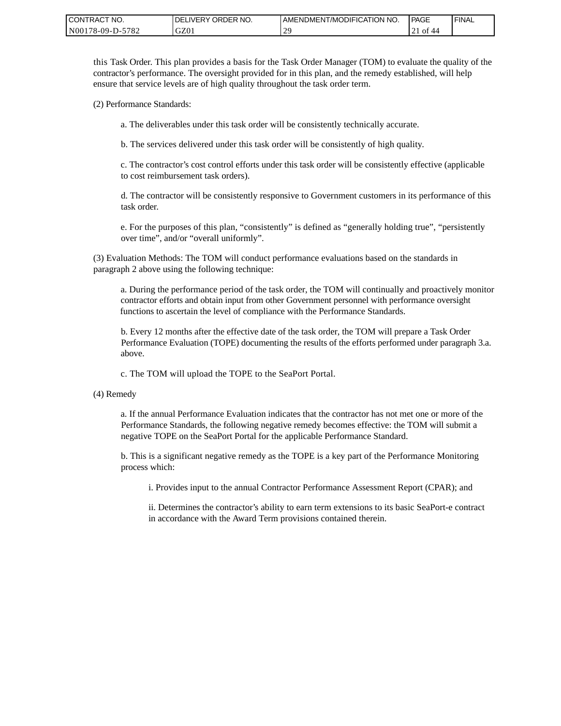| CONTRACT NO.     | ORDER NO.<br><b>DELIVERY</b> | <b>AMENDMENT/MODIFICATION NO.</b> | PAGE | 'FINAL |
|------------------|------------------------------|-----------------------------------|------|--------|
| N00178-09-D-5782 | GZ01                         | $\gamma c$<br>-                   | - of |        |

this Task Order. This plan provides a basis for the Task Order Manager (TOM) to evaluate the quality of the contractor's performance. The oversight provided for in this plan, and the remedy established, will help ensure that service levels are of high quality throughout the task order term.

(2) Performance Standards:

a. The deliverables under this task order will be consistently technically accurate.

b. The services delivered under this task order will be consistently of high quality.

c. The contractor's cost control efforts under this task order will be consistently effective (applicable to cost reimbursement task orders).

d. The contractor will be consistently responsive to Government customers in its performance of this task order.

e. For the purposes of this plan, "consistently" is defined as "generally holding true", "persistently over time", and/or "overall uniformly".

(3) Evaluation Methods: The TOM will conduct performance evaluations based on the standards in paragraph 2 above using the following technique:

a. During the performance period of the task order, the TOM will continually and proactively monitor contractor efforts and obtain input from other Government personnel with performance oversight functions to ascertain the level of compliance with the Performance Standards.

b. Every 12 months after the effective date of the task order, the TOM will prepare a Task Order Performance Evaluation (TOPE) documenting the results of the efforts performed under paragraph 3.a. above.

c. The TOM will upload the TOPE to the SeaPort Portal.

(4) Remedy

a. If the annual Performance Evaluation indicates that the contractor has not met one or more of the Performance Standards, the following negative remedy becomes effective: the TOM will submit a negative TOPE on the SeaPort Portal for the applicable Performance Standard.

b. This is a significant negative remedy as the TOPE is a key part of the Performance Monitoring process which:

i. Provides input to the annual Contractor Performance Assessment Report (CPAR); and

ii. Determines the contractor's ability to earn term extensions to its basic SeaPort-e contract in accordance with the Award Term provisions contained therein.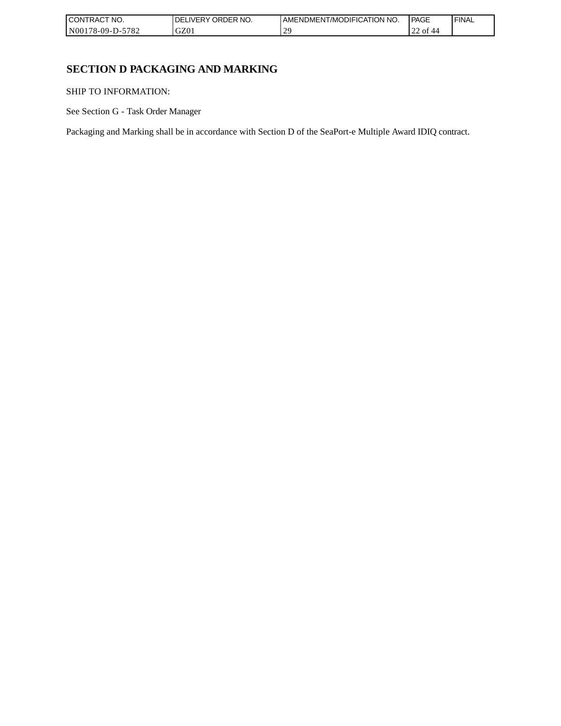| `CT NO.<br><b>CONT</b><br>TRAC'         | NO.<br><b>ORDER</b><br>IVERY<br>DEI | AMENDMENT/MODIFICATION NO. | <b>PAGE</b>                        | ' FINAL |
|-----------------------------------------|-------------------------------------|----------------------------|------------------------------------|---------|
| N0017 <sup>c</sup><br>5782<br>78-09-D-: | GZ0                                 | $\gamma$<br><b>.</b>       | $\sim$<br>$\sim$<br>οt<br>40<br>∠∠ |         |

## **SECTION D PACKAGING AND MARKING**

SHIP TO INFORMATION:

See Section G - Task Order Manager

Packaging and Marking shall be in accordance with Section D of the SeaPort-e Multiple Award IDIQ contract.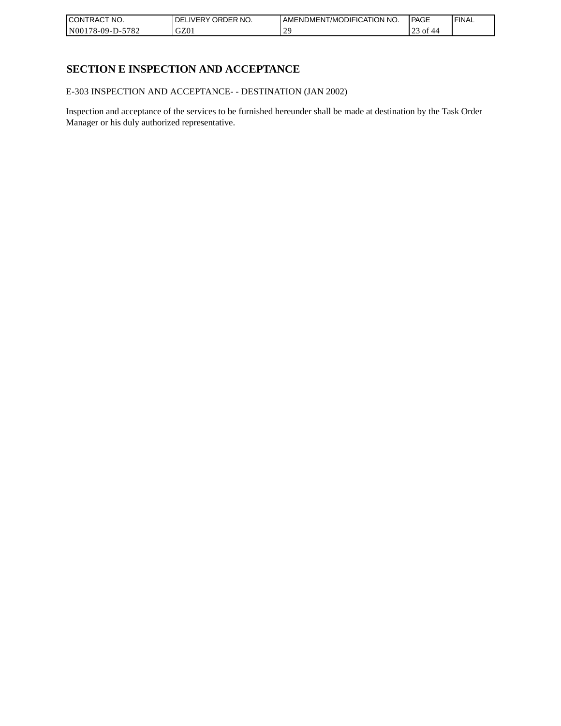| CONTRACT<br>`CT NO.              | NO.<br>' ORDER<br><b>DELIVERY</b> | AMENDMENT/MODIFICATION NO. | l PAGE     | ' FINAL |
|----------------------------------|-----------------------------------|----------------------------|------------|---------|
| $-5782$<br>N001<br>$178-09-D$ -J | GZ01                              | $\gamma$                   | ' o1<br>رے |         |

## **SECTION E INSPECTION AND ACCEPTANCE**

E-303 INSPECTION AND ACCEPTANCE- - DESTINATION (JAN 2002)

Inspection and acceptance of the services to be furnished hereunder shall be made at destination by the Task Order Manager or his duly authorized representative.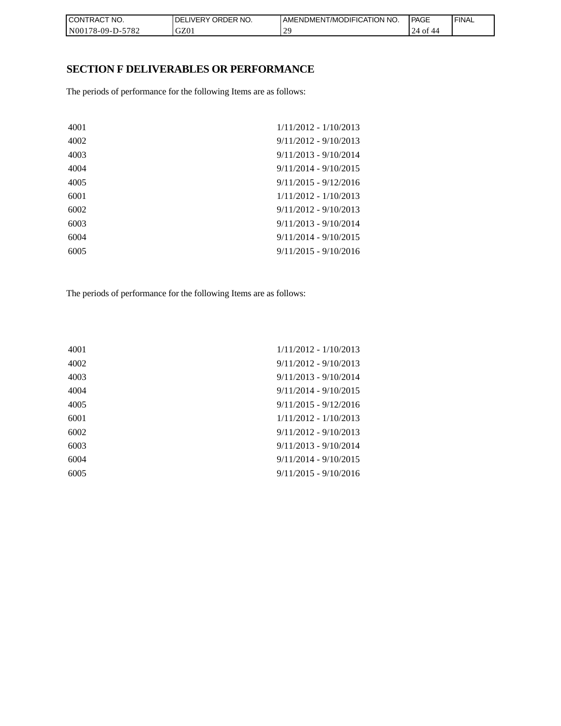| CON <sub>1</sub><br>TRACT NO. | NO.<br><b>DELIVERY ORDER</b> | <b>I AMENDMENT/MODIFICATION NO.</b> | <b>PAGE</b>                      | ' FINAL |
|-------------------------------|------------------------------|-------------------------------------|----------------------------------|---------|
| N00178-09-D-5782              | GZ01                         | oc<br><u>_</u>                      | $\gamma_{\varDelta}$<br>0t<br>44 |         |

## **SECTION F DELIVERABLES OR PERFORMANCE**

The periods of performance for the following Items are as follows:

| 4001 | $1/11/2012 - 1/10/2013$ |
|------|-------------------------|
| 4002 | $9/11/2012 - 9/10/2013$ |
| 4003 | $9/11/2013 - 9/10/2014$ |
| 4004 | $9/11/2014 - 9/10/2015$ |
| 4005 | $9/11/2015 - 9/12/2016$ |
| 6001 | $1/11/2012 - 1/10/2013$ |
| 6002 | $9/11/2012 - 9/10/2013$ |
| 6003 | $9/11/2013 - 9/10/2014$ |
| 6004 | $9/11/2014 - 9/10/2015$ |
| 6005 | $9/11/2015 - 9/10/2016$ |
|      |                         |

The periods of performance for the following Items are as follows:

| 4001 | $1/11/2012 - 1/10/2013$ |
|------|-------------------------|
| 4002 | $9/11/2012 - 9/10/2013$ |
| 4003 | $9/11/2013 - 9/10/2014$ |
| 4004 | $9/11/2014 - 9/10/2015$ |
| 4005 | $9/11/2015 - 9/12/2016$ |
| 6001 | $1/11/2012 - 1/10/2013$ |
| 6002 | $9/11/2012 - 9/10/2013$ |
| 6003 | $9/11/2013 - 9/10/2014$ |
| 6004 | $9/11/2014 - 9/10/2015$ |
| 6005 | $9/11/2015 - 9/10/2016$ |
|      |                         |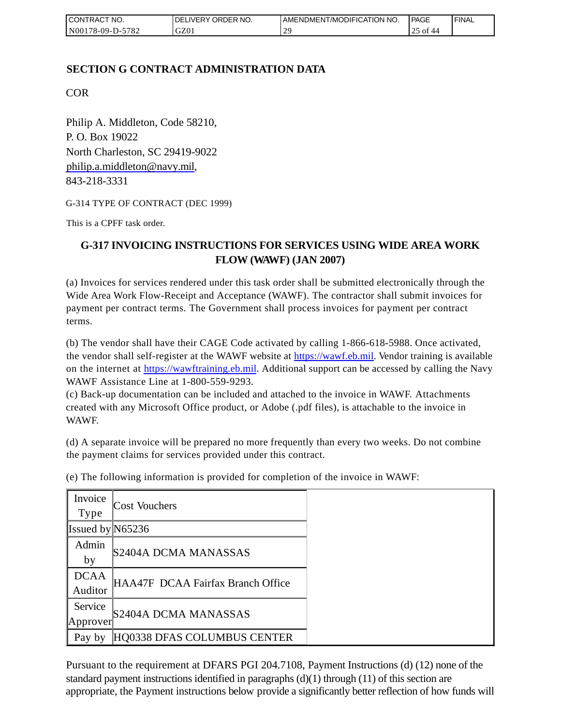| <b>I CONTRACT NO.</b>    | DELIVERY ORDER NO. | I AMENDMENT/MODIFICATION NO. | <b>PAGE</b>    | ' FINAL |
|--------------------------|--------------------|------------------------------|----------------|---------|
| -5782<br>  N00178-09-D-5 | GZ01               | $\mathcal{L}$                | ΟĪ<br>44<br>رے |         |

## **SECTION G CONTRACT ADMINISTRATION DATA**

COR

Philip A. Middleton, Code 58210, P. O. Box 19022 North Charleston, SC 29419-9022 [philip.a.middleton@navy.mil,](mailto:cphilip.a.middleton@navy.mil) 843-218-3331

G-314 TYPE OF CONTRACT (DEC 1999)

This is a CPFF task order.

## **G-317 INVOICING INSTRUCTIONS FOR SERVICES USING WIDE AREA WORK FLOW (WAWF) (JAN 2007)**

(a) Invoices for services rendered under this task order shall be submitted electronically through the Wide Area Work Flow-Receipt and Acceptance (WAWF). The contractor shall submit invoices for payment per contract terms. The Government shall process invoices for payment per contract terms.

(b) The vendor shall have their CAGE Code activated by calling 1-866-618-5988. Once activated, the vendor shall self-register at the WAWF website at [https://wawf.eb.mil.](https://wawf.eb.mil/) Vendor training is available on the internet at [https://wawftraining.eb.mil.](https://wawftraining.eb.mil/) Additional support can be accessed by calling the Navy WAWF Assistance Line at 1-800-559-9293.

(c) Back-up documentation can be included and attached to the invoice in WAWF. Attachments created with any Microsoft Office product, or Adobe (.pdf files), is attachable to the invoice in WAWF.

(d) A separate invoice will be prepared no more frequently than every two weeks. Do not combine the payment claims for services provided under this contract.

| Invoice<br><b>Type</b> | <b>Cost Vouchers</b>              |
|------------------------|-----------------------------------|
|                        |                                   |
| Issued by $N65236$     |                                   |
| Admin                  |                                   |
| by                     | S2404A DCMA MANASSAS              |
| <b>DCAA</b>            |                                   |
| Auditor                | HAA47F DCAA Fairfax Branch Office |
| Service                |                                   |
| Approver               | S2404A DCMA MANASSAS              |
| Pay by                 | HQ0338 DFAS COLUMBUS CENTER       |

(e) The following information is provided for completion of the invoice in WAWF:

Pursuant to the requirement at DFARS PGI 204.7108, Payment Instructions (d) (12) none of the standard payment instructions identified in paragraphs  $(d)(1)$  through  $(11)$  of this section are appropriate, the Payment instructions below provide a significantly better reflection of how funds will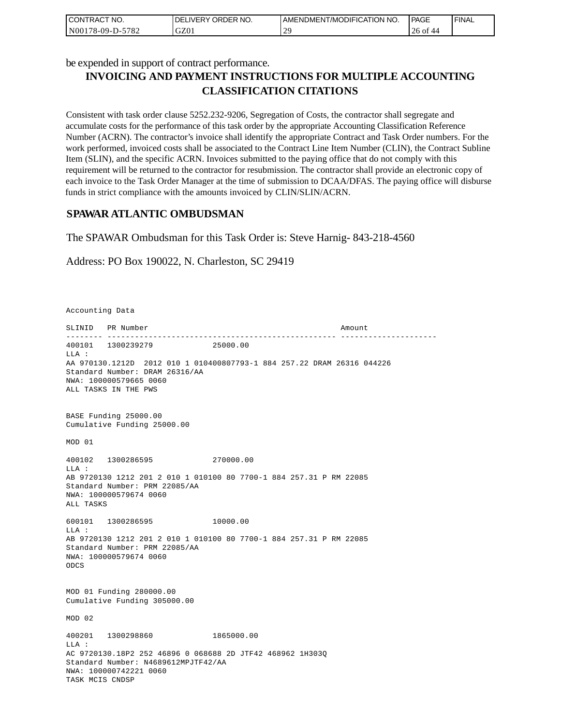| I CONTRACT NO.   | <b>IDELIVERY ORDER NO.</b> | LAMENDMENT/MODIFICATION NO. | <b>PAGE</b> | <b>I FINAL</b> |
|------------------|----------------------------|-----------------------------|-------------|----------------|
| N00178-09-D-5782 | GZ01                       | $\mathcal{L}$<br>-          | 26 of 44    |                |

be expended in support of contract performance.

# **INVOICING AND PAYMENT INSTRUCTIONS FOR MULTIPLE ACCOUNTING CLASSIFICATION CITATIONS**

Consistent with task order clause 5252.232-9206, Segregation of Costs, the contractor shall segregate and accumulate costs for the performance of this task order by the appropriate Accounting Classification Reference Number (ACRN). The contractor's invoice shall identify the appropriate Contract and Task Order numbers. For the work performed, invoiced costs shall be associated to the Contract Line Item Number (CLIN), the Contract Subline Item (SLIN), and the specific ACRN. Invoices submitted to the paying office that do not comply with this requirement will be returned to the contractor for resubmission. The contractor shall provide an electronic copy of each invoice to the Task Order Manager at the time of submission to DCAA/DFAS. The paying office will disburse funds in strict compliance with the amounts invoiced by CLIN/SLIN/ACRN.

### **SPAWAR ATLANTIC OMBUDSMAN**

The SPAWAR Ombudsman for this Task Order is: Steve Harnig- 843-218-4560

Address: PO Box 190022, N. Charleston, SC 29419

Accounting Data

SLINID PR Number Amount -------- -------------------------------------------------- --------------------- 400101 1300239279 25000.00  $T.T.A$  : AA 970130.1212D 2012 010 1 010400807793-1 884 257.22 DRAM 26316 044226 Standard Number: DRAM 26316/AA NWA: 100000579665 0060 ALL TASKS IN THE PWS BASE Funding 25000.00 Cumulative Funding 25000.00 MOD 01 400102 1300286595 270000.00 LLA : AB 9720130 1212 201 2 010 1 010100 80 7700-1 884 257.31 P RM 22085 Standard Number: PRM 22085/AA NWA: 100000579674 0060 ALL TASKS 600101 1300286595 10000.00 LLA : AB 9720130 1212 201 2 010 1 010100 80 7700-1 884 257.31 P RM 22085 Standard Number: PRM 22085/AA NWA: 100000579674 0060 ODCS MOD 01 Funding 280000.00 Cumulative Funding 305000.00 MOD 02 400201 1300298860 1865000.00  $T.T.A$  : AC 9720130.18P2 252 46896 0 068688 2D JTF42 468962 1H303Q Standard Number: N4689612MPJTF42/AA NWA: 100000742221 0060 TASK MCIS CNDSP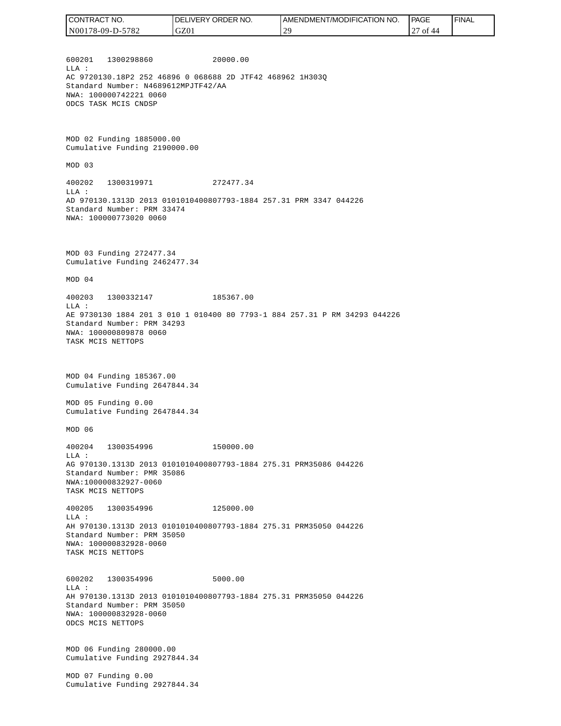| CONTRACT NO.     | NO.<br>ORDER <sup>'</sup><br>.IVERY<br>DEL. | AMENDMENT/MODIFICATION<br>NO. | PAGE          | ' FINAL |
|------------------|---------------------------------------------|-------------------------------|---------------|---------|
| N00178-09-D-5782 | GZ01                                        | 20                            | of<br>44<br>∼ |         |
|                  |                                             |                               |               |         |

600201 1300298860 20000.00 LLA : AC 9720130.18P2 252 46896 0 068688 2D JTF42 468962 1H303Q Standard Number: N4689612MPJTF42/AA NWA: 100000742221 0060 ODCS TASK MCIS CNDSP

MOD 02 Funding 1885000.00 Cumulative Funding 2190000.00

MOD 03

400202 1300319971 272477.34 LLA : AD 970130.1313D 2013 0101010400807793-1884 257.31 PRM 3347 044226 Standard Number: PRM 33474 NWA: 100000773020 0060

MOD 03 Funding 272477.34 Cumulative Funding 2462477.34

MOD 04

400203 1300332147 185367.00 LLA : AE 9730130 1884 201 3 010 1 010400 80 7793-1 884 257.31 P RM 34293 044226 Standard Number: PRM 34293 NWA: 100000809878 0060 TASK MCIS NETTOPS

MOD 04 Funding 185367.00 Cumulative Funding 2647844.34

MOD 05 Funding 0.00 Cumulative Funding 2647844.34

MOD 06

400204 1300354996 150000.00 LLA : AG 970130.1313D 2013 0101010400807793-1884 275.31 PRM35086 044226 Standard Number: PMR 35086 NWA:100000832927-0060 TASK MCIS NETTOPS

400205 1300354996 125000.00 LLA : AH 970130.1313D 2013 0101010400807793-1884 275.31 PRM35050 044226 Standard Number: PRM 35050 NWA: 100000832928-0060 TASK MCIS NETTOPS

600202 1300354996 5000.00 LLA : AH 970130.1313D 2013 0101010400807793-1884 275.31 PRM35050 044226 Standard Number: PRM 35050 NWA: 100000832928-0060 ODCS MCIS NETTOPS

MOD 06 Funding 280000.00 Cumulative Funding 2927844.34

MOD 07 Funding 0.00 Cumulative Funding 2927844.34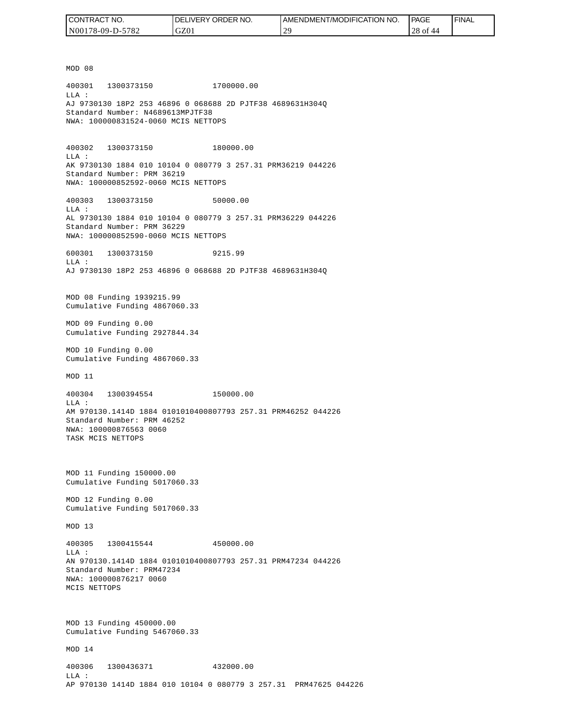| CONTRACT NO.     | <b>IDELIVERY ORDER NO.</b> | I AMENDMENT/MODIFICATION NO. | PAGE     | ' FINAL |
|------------------|----------------------------|------------------------------|----------|---------|
| N00178-09-D-5782 | GZ01                       | $\gamma$<br>. L              | 28 of 44 |         |

MOD 08 400301 1300373150 1700000.00 LLA : AJ 9730130 18P2 253 46896 0 068688 2D PJTF38 4689631H304Q Standard Number: N4689613MPJTF38 NWA: 100000831524-0060 MCIS NETTOPS 400302 1300373150 180000.00 LLA : AK 9730130 1884 010 10104 0 080779 3 257.31 PRM36219 044226 Standard Number: PRM 36219 NWA: 100000852592-0060 MCIS NETTOPS 400303 1300373150 50000.00 LLA : AL 9730130 1884 010 10104 0 080779 3 257.31 PRM36229 044226 Standard Number: PRM 36229 NWA: 100000852590-0060 MCIS NETTOPS 600301 1300373150 9215.99  $T.T.A$  : AJ 9730130 18P2 253 46896 0 068688 2D PJTF38 4689631H304Q MOD 08 Funding 1939215.99 Cumulative Funding 4867060.33 MOD 09 Funding 0.00 Cumulative Funding 2927844.34 MOD 10 Funding 0.00 Cumulative Funding 4867060.33 MOD 11 400304 1300394554 150000.00 LLA : AM 970130.1414D 1884 0101010400807793 257.31 PRM46252 044226 Standard Number: PRM 46252 NWA: 100000876563 0060 TASK MCIS NETTOPS MOD 11 Funding 150000.00 Cumulative Funding 5017060.33 MOD 12 Funding 0.00 Cumulative Funding 5017060.33 MOD 13 400305 1300415544 450000.00  $L.L.A$  : AN 970130.1414D 1884 0101010400807793 257.31 PRM47234 044226 Standard Number: PRM47234 NWA: 100000876217 0060 MCIS NETTOPS MOD 13 Funding 450000.00 Cumulative Funding 5467060.33 MOD 14 400306 1300436371 432000.00 LLA : AP 970130 1414D 1884 010 10104 0 080779 3 257.31 PRM47625 044226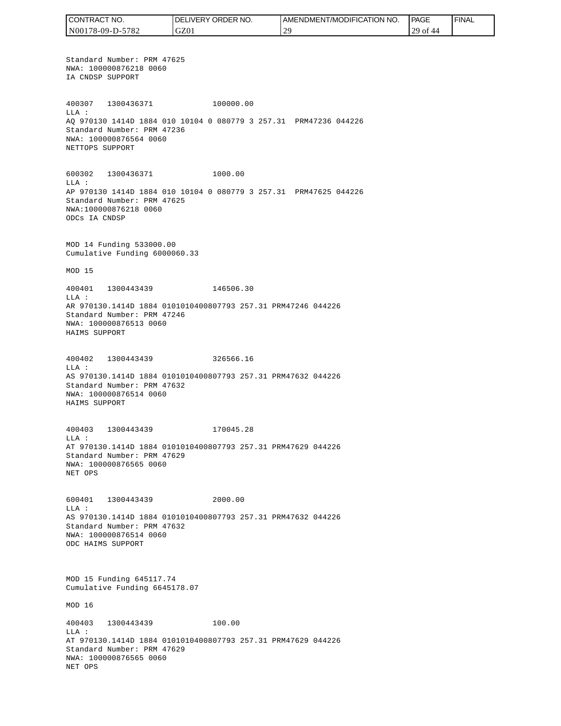CONTRACT NO. DELIVERY ORDER NO. AMENDMENT/MODIFICATION NO. **PAGE**  FINALCONTRACT NO.<br>NO0178-09-D-5<br>Standard Numk<br>NWA: 1000087<br>IA CNDSP SUPP<br>400307 1300<br>400307 1300<br>400307 1300<br>MLA: 2000087<br>NET CNDSP SUPPC<br>600302 1300<br>NET TOPS SUPPC<br>600302 1300<br>LLA: AP 970130 141<br>Standard Numk<br>NWA: 10000087<br>MAD N00178-09-D-5782 GZ01 29 29 of 44 Standard Number: PRM 47625 NWA: 100000876218 0060 IA CNDSP SUPPORT 400307 1300436371 100000.00 LLA : AQ 970130 1414D 1884 010 10104 0 080779 3 257.31 PRM47236 044226 Standard Number: PRM 47236 NWA: 100000876564 0060 NETTOPS SUPPORT 600302 1300436371 1000.00 LLA : AP 970130 1414D 1884 010 10104 0 080779 3 257.31 PRM47625 044226 Standard Number: PRM 47625 NWA:100000876218 0060 ODCs IA CNDSP MOD 14 Funding 533000.00 Cumulative Funding 6000060.33 MOD 15 400401 1300443439 146506.30 LLA : AR 970130.1414D 1884 0101010400807793 257.31 PRM47246 044226 Standard Number: PRM 47246 NWA: 100000876513 0060 HAIMS SUPPORT 400402 1300443439 326566.16 LLA : AS 970130.1414D 1884 0101010400807793 257.31 PRM47632 044226 Standard Number: PRM 47632 NWA: 100000876514 0060 HAIMS SUPPORT 400403 1300443439 170045.28 LLA : AT 970130.1414D 1884 0101010400807793 257.31 PRM47629 044226 Standard Number: PRM 47629 NWA: 100000876565 0060 NET OPS 600401 1300443439 2000.00 LLA : AS 970130.1414D 1884 0101010400807793 257.31 PRM47632 044226 Standard Number: PRM 47632 NWA: 100000876514 0060 ODC HAIMS SUPPORT MOD 15 Funding 645117.74 Cumulative Funding 6645178.07 MOD 16 400403 1300443439 100.00 LLA : AT 970130.1414D 1884 0101010400807793 257.31 PRM47629 044226 Standard Number: PRM 47629 NWA: 100000876565 0060 NET OPS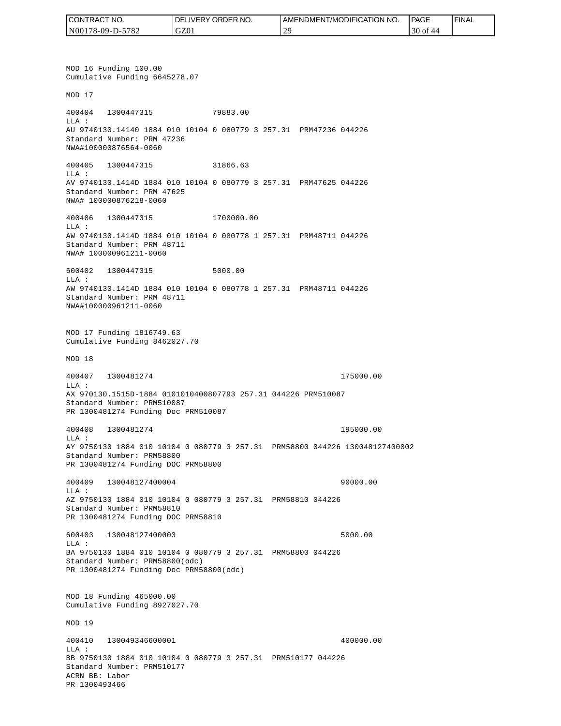| CONTRACT NO.     | <b>IDELIVERY ORDER NO.</b> | AMENDMENT/MODIFICATION<br>NO. | <b>PAGE</b>    | ' FINAL |
|------------------|----------------------------|-------------------------------|----------------|---------|
| N00178-09-D-5782 | GZ01                       | $\mathcal{L}$                 | $30$ of<br>-44 |         |

MOD 16 Funding 100.00 Cumulative Funding 6645278.07 MOD 17 400404 1300447315 79883.00 LLA : AU 9740130.14140 1884 010 10104 0 080779 3 257.31 PRM47236 044226 Standard Number: PRM 47236 NWA#100000876564-0060 400405 1300447315 31866.63 LLA : AV 9740130.1414D 1884 010 10104 0 080779 3 257.31 PRM47625 044226 Standard Number: PRM 47625 NWA# 100000876218-0060 400406 1300447315 1700000.00 LLA : AW 9740130.1414D 1884 010 10104 0 080778 1 257.31 PRM48711 044226 Standard Number: PRM 48711 NWA# 100000961211-0060 600402 1300447315 5000.00 LLA : AW 9740130.1414D 1884 010 10104 0 080778 1 257.31 PRM48711 044226 Standard Number: PRM 48711 NWA#100000961211-0060 MOD 17 Funding 1816749.63 Cumulative Funding 8462027.70 MOD 18 400407 1300481274 175000.00 LLA : AX 970130.1515D-1884 0101010400807793 257.31 044226 PRM510087 Standard Number: PRM510087 PR 1300481274 Funding Doc PRM510087 400408 1300481274 195000.00 LLA : AY 9750130 1884 010 10104 0 080779 3 257.31 PRM58800 044226 130048127400002 Standard Number: PRM58800 PR 1300481274 Funding DOC PRM58800 400409 130048127400004 90000.00 LLA : AZ 9750130 1884 010 10104 0 080779 3 257.31 PRM58810 044226 Standard Number: PRM58810 PR 1300481274 Funding DOC PRM58810 600403 130048127400003 5000.00 LLA : BA 9750130 1884 010 10104 0 080779 3 257.31 PRM58800 044226 Standard Number: PRM58800(odc) PR 1300481274 Funding Doc PRM58800(odc) MOD 18 Funding 465000.00 Cumulative Funding 8927027.70 MOD 19 400410 130049346600001 400000.00  $L.L.A$  : BB 9750130 1884 010 10104 0 080779 3 257.31 PRM510177 044226 Standard Number: PRM510177 ACRN BB: Labor PR 1300493466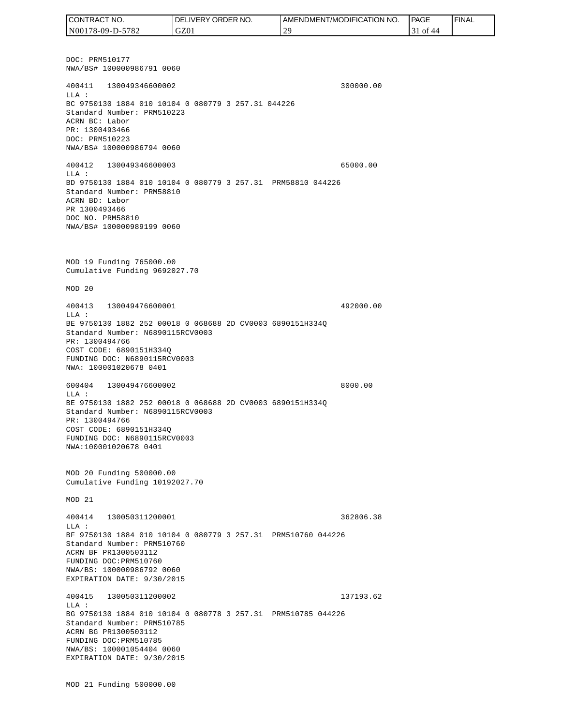DOC: PRM510177 NWA/BS# 100000986791 0060 400411 130049346600002 300000.00 LLA : BC 9750130 1884 010 10104 0 080779 3 257.31 044226 Standard Number: PRM510223 ACRN BC: Labor PR: 1300493466 DOC: PRM510223 NWA/BS# 100000986794 0060 400412 130049346600003 65000.00 LLA : BD 9750130 1884 010 10104 0 080779 3 257.31 PRM58810 044226 Standard Number: PRM58810 ACRN BD: Labor PR 1300493466 DOC NO. PRM58810 NWA/BS# 100000989199 0060 MOD 19 Funding 765000.00 Cumulative Funding 9692027.70 MOD 20 400413 130049476600001 492000.00 LLA : BE 9750130 1882 252 00018 0 068688 2D CV0003 6890151H334Q Standard Number: N6890115RCV0003 PR: 1300494766 COST CODE: 6890151H334Q FUNDING DOC: N6890115RCV0003 NWA: 100001020678 0401 600404 130049476600002 8000.00 LLA : BE 9750130 1882 252 00018 0 068688 2D CV0003 6890151H334Q Standard Number: N6890115RCV0003 PR: 1300494766 COST CODE: 6890151H334Q FUNDING DOC: N6890115RCV0003 NWA:100001020678 0401 MOD 20 Funding 500000.00 Cumulative Funding 10192027.70 MOD 21 400414 130050311200001 362806.38  $T.T.A$  : BF 9750130 1884 010 10104 0 080779 3 257.31 PRM510760 044226 Standard Number: PRM510760 ACRN BF PR1300503112 FUNDING DOC:PRM510760 NWA/BS: 100000986792 0060 EXPIRATION DATE: 9/30/2015 400415 130050311200002 137193.62 LLA : BG 9750130 1884 010 10104 0 080778 3 257.31 PRM510785 044226 Standard Number: PRM510785 ACRN BG PR1300503112 FUNDING DOC:PRM510785 NWA/BS: 100001054404 0060 EXPIRATION DATE: 9/30/2015 MOD 21 Funding 500000.00 CONTRACT NO. N00178-09-D-5782 DELIVERY ORDER NO. GZ01 AMENDMENT/MODIFICATION NO. 29 **PAGE**  31 of 44 FINAL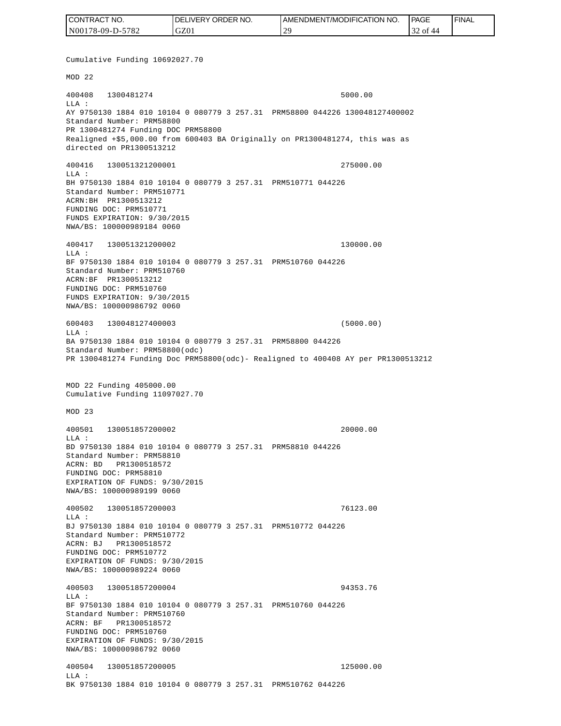| CONTRACT NO.     | <b>IDELIVERY ORDER NO.</b> | <b>I AMENDMENT/MODIFICATION NO.</b> | <b>PAGE</b> | ' FINAL |
|------------------|----------------------------|-------------------------------------|-------------|---------|
| N00178-09-D-5782 | GZ01                       | $\gamma$<br>∼                       | 32 of 44    |         |

Cumulative Funding 10692027.70 MOD 22 400408 1300481274 5000.00 LLA : AY 9750130 1884 010 10104 0 080779 3 257.31 PRM58800 044226 130048127400002 Standard Number: PRM58800 PR 1300481274 Funding DOC PRM58800 Realigned +\$5,000.00 from 600403 BA Originally on PR1300481274, this was as directed on PR1300513212 400416 130051321200001 275000.00 LLA : BH 9750130 1884 010 10104 0 080779 3 257.31 PRM510771 044226 Standard Number: PRM510771 ACRN:BH PR1300513212 FUNDING DOC: PRM510771 FUNDS EXPIRATION: 9/30/2015 NWA/BS: 100000989184 0060 400417 130051321200002 130000.00 LLA : BF 9750130 1884 010 10104 0 080779 3 257.31 PRM510760 044226 Standard Number: PRM510760 ACRN:BF PR1300513212 FUNDING DOC: PRM510760 FUNDS EXPIRATION: 9/30/2015 NWA/BS: 100000986792 0060 600403 130048127400003 (5000.00)  $L.L.A$  : BA 9750130 1884 010 10104 0 080779 3 257.31 PRM58800 044226 Standard Number: PRM58800(odc) PR 1300481274 Funding Doc PRM58800(odc)- Realigned to 400408 AY per PR1300513212 MOD 22 Funding 405000.00 Cumulative Funding 11097027.70 MOD 23 400501 130051857200002 20000.00  $L.L.A$  : BD 9750130 1884 010 10104 0 080779 3 257.31 PRM58810 044226 Standard Number: PRM58810 ACRN: BD PR1300518572 FUNDING DOC: PRM58810 EXPIRATION OF FUNDS: 9/30/2015 NWA/BS: 100000989199 0060 400502 130051857200003 76123.00 LLA : BJ 9750130 1884 010 10104 0 080779 3 257.31 PRM510772 044226 Standard Number: PRM510772 ACRN: BJ PR1300518572 FUNDING DOC: PRM510772 EXPIRATION OF FUNDS: 9/30/2015 NWA/BS: 100000989224 0060 400503 130051857200004 94353.76  $T.T.A$  : BF 9750130 1884 010 10104 0 080779 3 257.31 PRM510760 044226 Standard Number: PRM510760 ACRN: BF PR1300518572 FUNDING DOC: PRM510760 EXPIRATION OF FUNDS: 9/30/2015 NWA/BS: 100000986792 0060 400504 130051857200005 125000.00 LLA : BK 9750130 1884 010 10104 0 080779 3 257.31 PRM510762 044226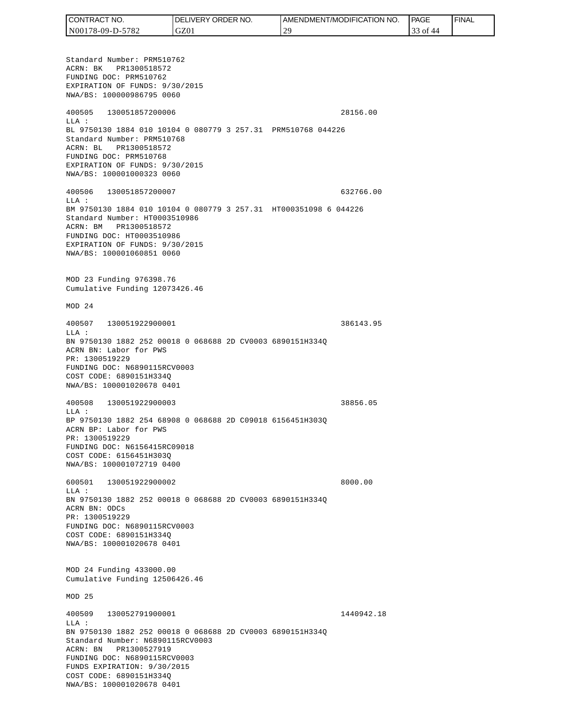| CONTRACT NO.     | ' ORDER NO.<br><b>DELIVERY</b> | I AMENDMENT/MODIFICATION NO. | PAGE            | 'FINAL |
|------------------|--------------------------------|------------------------------|-----------------|--------|
| N00178-09-D-5782 | GZ01                           | $\gamma$                     | 0Ť<br>44<br>ر ر |        |

Standard Number: PRM510762 ACRN: BK PR1300518572 FUNDING DOC: PRM510762 EXPIRATION OF FUNDS: 9/30/2015 NWA/BS: 100000986795 0060 400505 130051857200006 28156.00 LLA : BL 9750130 1884 010 10104 0 080779 3 257.31 PRM510768 044226 Standard Number: PRM510768 ACRN: BL PR1300518572 FUNDING DOC: PRM510768 EXPIRATION OF FUNDS: 9/30/2015 NWA/BS: 100001000323 0060 400506 130051857200007 632766.00 LLA : BM 9750130 1884 010 10104 0 080779 3 257.31 HT000351098 6 044226 Standard Number: HT0003510986 ACRN: BM PR1300518572 FUNDING DOC: HT0003510986 EXPIRATION OF FUNDS: 9/30/2015 NWA/BS: 100001060851 0060 MOD 23 Funding 976398.76 Cumulative Funding 12073426.46 MOD 24 400507 130051922900001 386143.95  $T.T.A$  : BN 9750130 1882 252 00018 0 068688 2D CV0003 6890151H334Q ACRN BN: Labor for PWS PR: 1300519229 FUNDING DOC: N6890115RCV0003 COST CODE: 6890151H334Q NWA/BS: 100001020678 0401 400508 130051922900003 38856.05 LLA : BP 9750130 1882 254 68908 0 068688 2D C09018 6156451H303Q ACRN BP: Labor for PWS PR: 1300519229 FUNDING DOC: N6156415RC09018 COST CODE: 6156451H303Q NWA/BS: 100001072719 0400 600501 130051922900002 8000.00 LLA : BN 9750130 1882 252 00018 0 068688 2D CV0003 6890151H334Q ACRN BN: ODCs PR: 1300519229 FUNDING DOC: N6890115RCV0003 COST CODE: 6890151H334Q NWA/BS: 100001020678 0401 MOD 24 Funding 433000.00 Cumulative Funding 12506426.46 MOD 25 400509 130052791900001 1440942.18 LLA : BN 9750130 1882 252 00018 0 068688 2D CV0003 6890151H334Q Standard Number: N6890115RCV0003 ACRN: BN PR1300527919 FUNDING DOC: N6890115RCV0003 FUNDS EXPIRATION: 9/30/2015 COST CODE: 6890151H334Q NWA/BS: 100001020678 0401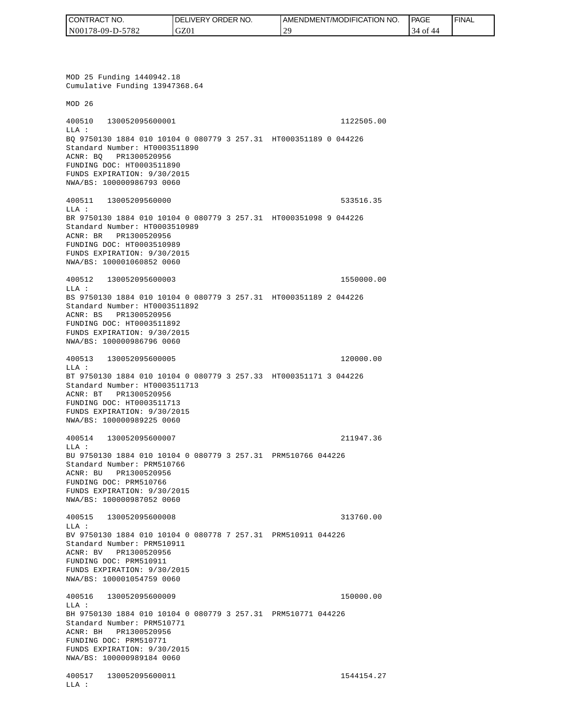| CONTRACT NO.     | <b>IDELIVERY ORDER NO.</b> | AMENDMENT/MODIFICATION NO. | PAGE              | ' FINAL |
|------------------|----------------------------|----------------------------|-------------------|---------|
| N00178-09-D-5782 | GZ01                       | $\Omega$<br><b>__</b>      | 4 of<br>44<br>-14 |         |

MOD 25 Funding 1440942.18 Cumulative Funding 13947368.64 MOD 26 400510 130052095600001 1122505.00 LLA : BQ 9750130 1884 010 10104 0 080779 3 257.31 HT000351189 0 044226 Standard Number: HT0003511890 ACNR: BQ PR1300520956 FUNDING DOC: HT0003511890 FUNDS EXPIRATION: 9/30/2015 NWA/BS: 100000986793 0060 400511 13005209560000 533516.35 LLA : BR 9750130 1884 010 10104 0 080779 3 257.31 HT000351098 9 044226 Standard Number: HT0003510989 ACNR: BR PR1300520956 FUNDING DOC: HT0003510989 FUNDS EXPIRATION: 9/30/2015 NWA/BS: 100001060852 0060 400512 130052095600003 1550000.00 LLA : BS 9750130 1884 010 10104 0 080779 3 257.31 HT000351189 2 044226 Standard Number: HT0003511892 ACNR: BS PR1300520956 FUNDING DOC: HT0003511892 FUNDS EXPIRATION: 9/30/2015 NWA/BS: 100000986796 0060 400513 130052095600005 120000.00 LLA : BT 9750130 1884 010 10104 0 080779 3 257.33 HT000351171 3 044226 Standard Number: HT0003511713 ACNR: BT PR1300520956 FUNDING DOC: HT0003511713 FUNDS EXPIRATION: 9/30/2015 NWA/BS: 100000989225 0060 400514 130052095600007 211947.36 LLA : BU 9750130 1884 010 10104 0 080779 3 257.31 PRM510766 044226 Standard Number: PRM510766 ACNR: BU PR1300520956 FUNDING DOC: PRM510766 FUNDS EXPIRATION: 9/30/2015 NWA/BS: 100000987052 0060 400515 130052095600008 313760.00  $T.T.A$  : BV 9750130 1884 010 10104 0 080778 7 257.31 PRM510911 044226 Standard Number: PRM510911 ACNR: BV PR1300520956 FUNDING DOC: PRM510911 FUNDS EXPIRATION: 9/30/2015 NWA/BS: 100001054759 0060 400516 130052095600009 150000.00 LLA : BH 9750130 1884 010 10104 0 080779 3 257.31 PRM510771 044226 Standard Number: PRM510771 ACNR: BH PR1300520956 FUNDING DOC: PRM510771 FUNDS EXPIRATION: 9/30/2015 NWA/BS: 100000989184 0060 400517 130052095600011 1544154.27 LLA :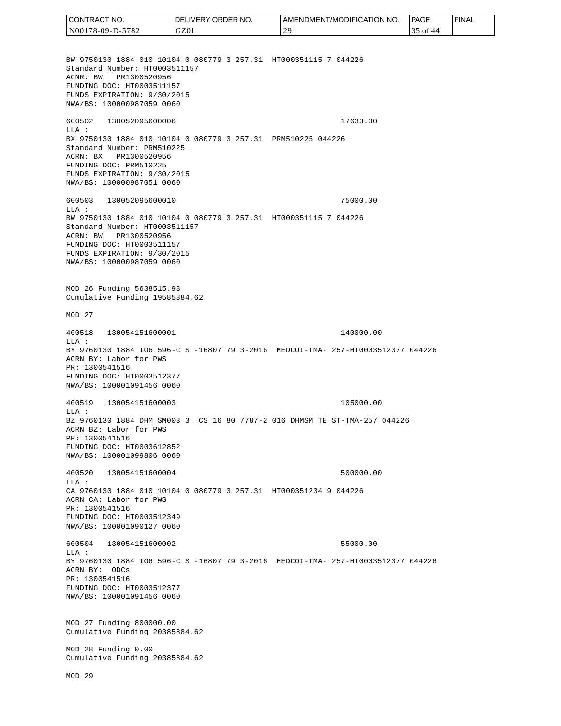CONTRACT NO. DELIVERY ORDER NO. AMENDMENT/MODIFICATION NO. **PAGE**  FINALCONTRACT NO.<br>
NO0178-09-D-5<br>
BW 9750130 18<br>
Standard Numb<br>
Standard Numb<br>
ACNR: BW PR<br>
FUNDING DOC:<br>
FUNDS EXPIRAT<br>
FUNDING DOC:<br>
TEUNDS EXPIRAT<br>
600502 1300<br>
600502 1300<br>
LLA: BX 9750130 18<br>
Standard Numb<br>
ACRR: BW PR<br>
FU N00178-09-D-5782 GZ01 29 35 of 44 BW 9750130 1884 010 10104 0 080779 3 257.31 HT000351115 7 044226 Standard Number: HT0003511157 ACNR: BW PR1300520956 FUNDING DOC: HT0003511157 FUNDS EXPIRATION: 9/30/2015 NWA/BS: 100000987059 0060 600502 130052095600006 17633.00 LLA : BX 9750130 1884 010 10104 0 080779 3 257.31 PRM510225 044226 Standard Number: PRM510225 ACRN: BX PR1300520956 FUNDING DOC: PRM510225 FUNDS EXPIRATION: 9/30/2015 NWA/BS: 100000987051 0060 600503 130052095600010 75000.00  $T.T.A$  : BW 9750130 1884 010 10104 0 080779 3 257.31 HT000351115 7 044226 Standard Number: HT0003511157 ACRN: BW PR1300520956 FUNDING DOC: HT0003511157 FUNDS EXPIRATION: 9/30/2015 NWA/BS: 100000987059 0060 MOD 26 Funding 5638515.98 Cumulative Funding 19585884.62 MOD 27 400518 130054151600001 140000.00 LLA : BY 9760130 1884 IO6 596-C S -16807 79 3-2016 MEDCOI-TMA- 257-HT0003512377 044226 ACRN BY: Labor for PWS PR: 1300541516 FUNDING DOC: HT0003512377 NWA/BS: 100001091456 0060 400519 130054151600003 105000.00 LLA : BZ 9760130 1884 DHM SM003 3 \_CS\_16 80 7787-2 016 DHMSM TE ST-TMA-257 044226 ACRN BZ: Labor for PWS PR: 1300541516 FUNDING DOC: HT0003612852 NWA/BS: 100001099806 0060 400520 130054151600004 500000.00  $L.L.A$  : CA 9760130 1884 010 10104 0 080779 3 257.31 HT000351234 9 044226 ACRN CA: Labor for PWS PR: 1300541516 FUNDING DOC: HT0003512349 NWA/BS: 100001090127 0060 600504 130054151600002 55000.00  $T.T.A$  : BY 9760130 1884 IO6 596-C S -16807 79 3-2016 MEDCOI-TMA- 257-HT0003512377 044226 ACRN BY: ODCs PR: 1300541516 FUNDING DOC: HT0003512377 NWA/BS: 100001091456 0060 MOD 27 Funding 800000.00 Cumulative Funding 20385884.62 MOD 28 Funding 0.00 Cumulative Funding 20385884.62 MOD 29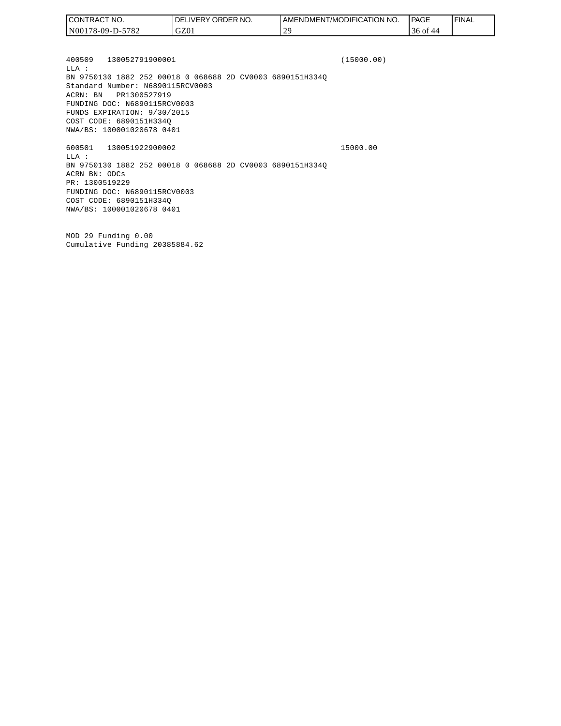| CONTRACT NO.     | <b>IDELIVERY ORDER NO.</b> | AMENDMENT/MODIFICATION<br>NO. | <b>PAGE</b> | ' FINAL |
|------------------|----------------------------|-------------------------------|-------------|---------|
| N00178-09-D-5782 | GZ01                       | $\mathcal{L}$                 | 36 of<br>44 |         |

400509 130052791900001 (15000.00) LLA : BN 9750130 1882 252 00018 0 068688 2D CV0003 6890151H334Q Standard Number: N6890115RCV0003 ACRN: BN PR1300527919 FUNDING DOC: N6890115RCV0003 FUNDS EXPIRATION: 9/30/2015 COST CODE: 6890151H334Q NWA/BS: 100001020678 0401 600501 130051922900002 15000.00

LLA : BN 9750130 1882 252 00018 0 068688 2D CV0003 6890151H334Q ACRN BN: ODCs PR: 1300519229 FUNDING DOC: N6890115RCV0003 COST CODE: 6890151H334Q NWA/BS: 100001020678 0401

MOD 29 Funding 0.00 Cumulative Funding 20385884.62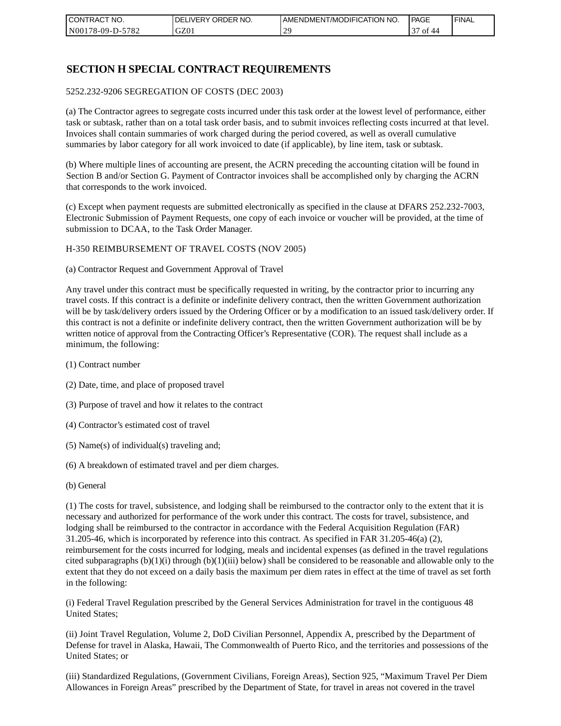| I CONTRACT NO.   | NO.<br>DELIVERY ORDER | AMENDMENT/MODIFICATION NO. | PAGE                         | ' FINAL |
|------------------|-----------------------|----------------------------|------------------------------|---------|
| N00178-09-D-5782 | GZ01                  | 20                         | $\sim$<br>ΟĪ<br>$\Delta\ell$ |         |

### **SECTION H SPECIAL CONTRACT REQUIREMENTS**

#### 5252.232-9206 SEGREGATION OF COSTS (DEC 2003)

(a) The Contractor agrees to segregate costs incurred under this task order at the lowest level of performance, either task or subtask, rather than on a total task order basis, and to submit invoices reflecting costs incurred at that level. Invoices shall contain summaries of work charged during the period covered, as well as overall cumulative summaries by labor category for all work invoiced to date (if applicable), by line item, task or subtask.

(b) Where multiple lines of accounting are present, the ACRN preceding the accounting citation will be found in Section B and/or Section G. Payment of Contractor invoices shall be accomplished only by charging the ACRN that corresponds to the work invoiced.

(c) Except when payment requests are submitted electronically as specified in the clause at DFARS 252.232-7003, Electronic Submission of Payment Requests, one copy of each invoice or voucher will be provided, at the time of submission to DCAA, to the Task Order Manager.

#### H-350 REIMBURSEMENT OF TRAVEL COSTS (NOV 2005)

(a) Contractor Request and Government Approval of Travel

Any travel under this contract must be specifically requested in writing, by the contractor prior to incurring any travel costs. If this contract is a definite or indefinite delivery contract, then the written Government authorization will be by task/delivery orders issued by the Ordering Officer or by a modification to an issued task/delivery order. If this contract is not a definite or indefinite delivery contract, then the written Government authorization will be by written notice of approval from the Contracting Officer's Representative (COR). The request shall include as a minimum, the following:

- (1) Contract number
- (2) Date, time, and place of proposed travel
- (3) Purpose of travel and how it relates to the contract
- (4) Contractor's estimated cost of travel
- (5) Name(s) of individual(s) traveling and;
- (6) A breakdown of estimated travel and per diem charges.
- (b) General

(1) The costs for travel, subsistence, and lodging shall be reimbursed to the contractor only to the extent that it is necessary and authorized for performance of the work under this contract. The costs for travel, subsistence, and lodging shall be reimbursed to the contractor in accordance with the Federal Acquisition Regulation (FAR) 31.205-46, which is incorporated by reference into this contract. As specified in FAR 31.205-46(a) (2), reimbursement for the costs incurred for lodging, meals and incidental expenses (as defined in the travel regulations cited subparagraphs  $(b)(1)(i)$  through  $(b)(1)(iii)$  below) shall be considered to be reasonable and allowable only to the extent that they do not exceed on a daily basis the maximum per diem rates in effect at the time of travel as set forth in the following:

(i) Federal Travel Regulation prescribed by the General Services Administration for travel in the contiguous 48 United States;

(ii) Joint Travel Regulation, Volume 2, DoD Civilian Personnel, Appendix A, prescribed by the Department of Defense for travel in Alaska, Hawaii, The Commonwealth of Puerto Rico, and the territories and possessions of the United States; or

(iii) Standardized Regulations, (Government Civilians, Foreign Areas), Section 925, "Maximum Travel Per Diem Allowances in Foreign Areas" prescribed by the Department of State, for travel in areas not covered in the travel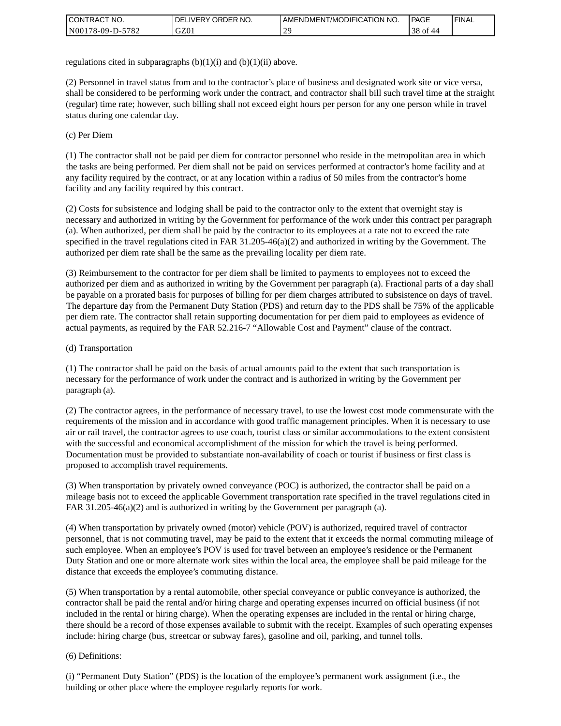| <b>I CONTRACT NO.</b> | `NO.<br><b>DELIVERY ORDER</b> | AMENDMENT/MODIFICATION NO. | <b>PAGE</b>     | ' FINAL |
|-----------------------|-------------------------------|----------------------------|-----------------|---------|
| N00178-09-D-5782      | GZ01                          | $\gamma$                   | 38 of<br>$\sim$ |         |

regulations cited in subparagraphs  $(b)(1)(i)$  and  $(b)(1)(ii)$  above.

(2) Personnel in travel status from and to the contractor's place of business and designated work site or vice versa, shall be considered to be performing work under the contract, and contractor shall bill such travel time at the straight (regular) time rate; however, such billing shall not exceed eight hours per person for any one person while in travel status during one calendar day.

(c) Per Diem

(1) The contractor shall not be paid per diem for contractor personnel who reside in the metropolitan area in which the tasks are being performed. Per diem shall not be paid on services performed at contractor's home facility and at any facility required by the contract, or at any location within a radius of 50 miles from the contractor's home facility and any facility required by this contract.

(2) Costs for subsistence and lodging shall be paid to the contractor only to the extent that overnight stay is necessary and authorized in writing by the Government for performance of the work under this contract per paragraph (a). When authorized, per diem shall be paid by the contractor to its employees at a rate not to exceed the rate specified in the travel regulations cited in FAR 31.205-46(a)(2) and authorized in writing by the Government. The authorized per diem rate shall be the same as the prevailing locality per diem rate.

(3) Reimbursement to the contractor for per diem shall be limited to payments to employees not to exceed the authorized per diem and as authorized in writing by the Government per paragraph (a). Fractional parts of a day shall be payable on a prorated basis for purposes of billing for per diem charges attributed to subsistence on days of travel. The departure day from the Permanent Duty Station (PDS) and return day to the PDS shall be 75% of the applicable per diem rate. The contractor shall retain supporting documentation for per diem paid to employees as evidence of actual payments, as required by the FAR 52.216-7 "Allowable Cost and Payment" clause of the contract.

### (d) Transportation

(1) The contractor shall be paid on the basis of actual amounts paid to the extent that such transportation is necessary for the performance of work under the contract and is authorized in writing by the Government per paragraph (a).

(2) The contractor agrees, in the performance of necessary travel, to use the lowest cost mode commensurate with the requirements of the mission and in accordance with good traffic management principles. When it is necessary to use air or rail travel, the contractor agrees to use coach, tourist class or similar accommodations to the extent consistent with the successful and economical accomplishment of the mission for which the travel is being performed. Documentation must be provided to substantiate non-availability of coach or tourist if business or first class is proposed to accomplish travel requirements.

(3) When transportation by privately owned conveyance (POC) is authorized, the contractor shall be paid on a mileage basis not to exceed the applicable Government transportation rate specified in the travel regulations cited in FAR 31.205-46(a)(2) and is authorized in writing by the Government per paragraph (a).

(4) When transportation by privately owned (motor) vehicle (POV) is authorized, required travel of contractor personnel, that is not commuting travel, may be paid to the extent that it exceeds the normal commuting mileage of such employee. When an employee's POV is used for travel between an employee's residence or the Permanent Duty Station and one or more alternate work sites within the local area, the employee shall be paid mileage for the distance that exceeds the employee's commuting distance.

(5) When transportation by a rental automobile, other special conveyance or public conveyance is authorized, the contractor shall be paid the rental and/or hiring charge and operating expenses incurred on official business (if not included in the rental or hiring charge). When the operating expenses are included in the rental or hiring charge, there should be a record of those expenses available to submit with the receipt. Examples of such operating expenses include: hiring charge (bus, streetcar or subway fares), gasoline and oil, parking, and tunnel tolls.

#### (6) Definitions:

(i) "Permanent Duty Station" (PDS) is the location of the employee's permanent work assignment (i.e., the building or other place where the employee regularly reports for work.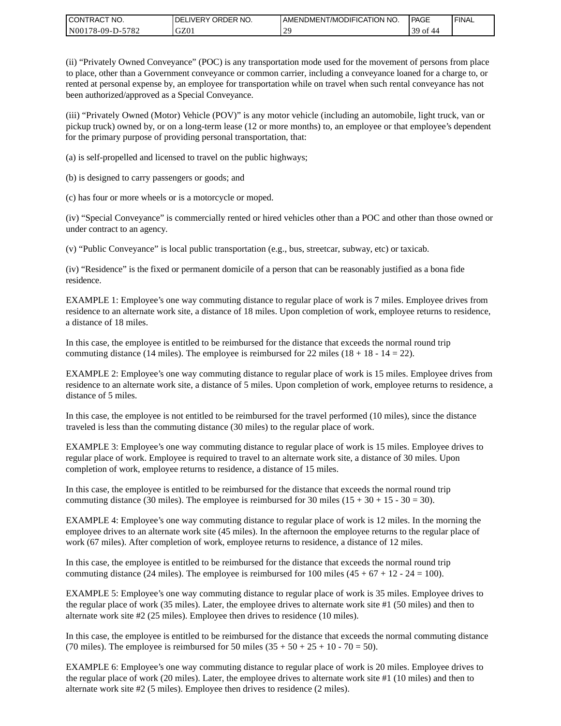| CONTRACT<br>°CT NO.      | NO.<br>' ORDER<br><b>DELIVERY</b> | AMENDMENT/MODIFICATION NO. | <b>PAGE</b>         | ' FINAL |
|--------------------------|-----------------------------------|----------------------------|---------------------|---------|
| $-5782$<br>N00178-09-D-5 | GZ01                              | $\gamma$                   | 39<br>$\sim$ +<br>വ |         |

(ii) "Privately Owned Conveyance" (POC) is any transportation mode used for the movement of persons from place to place, other than a Government conveyance or common carrier, including a conveyance loaned for a charge to, or rented at personal expense by, an employee for transportation while on travel when such rental conveyance has not been authorized/approved as a Special Conveyance.

(iii) "Privately Owned (Motor) Vehicle (POV)" is any motor vehicle (including an automobile, light truck, van or pickup truck) owned by, or on a long-term lease (12 or more months) to, an employee or that employee's dependent for the primary purpose of providing personal transportation, that:

(a) is self-propelled and licensed to travel on the public highways;

(b) is designed to carry passengers or goods; and

(c) has four or more wheels or is a motorcycle or moped.

(iv) "Special Conveyance" is commercially rented or hired vehicles other than a POC and other than those owned or under contract to an agency.

(v) "Public Conveyance" is local public transportation (e.g., bus, streetcar, subway, etc) or taxicab.

(iv) "Residence" is the fixed or permanent domicile of a person that can be reasonably justified as a bona fide residence.

EXAMPLE 1: Employee's one way commuting distance to regular place of work is 7 miles. Employee drives from residence to an alternate work site, a distance of 18 miles. Upon completion of work, employee returns to residence, a distance of 18 miles.

In this case, the employee is entitled to be reimbursed for the distance that exceeds the normal round trip commuting distance (14 miles). The employee is reimbursed for 22 miles (18 + 18 - 14 = 22).

EXAMPLE 2: Employee's one way commuting distance to regular place of work is 15 miles. Employee drives from residence to an alternate work site, a distance of 5 miles. Upon completion of work, employee returns to residence, a distance of 5 miles.

In this case, the employee is not entitled to be reimbursed for the travel performed (10 miles), since the distance traveled is less than the commuting distance (30 miles) to the regular place of work.

EXAMPLE 3: Employee's one way commuting distance to regular place of work is 15 miles. Employee drives to regular place of work. Employee is required to travel to an alternate work site, a distance of 30 miles. Upon completion of work, employee returns to residence, a distance of 15 miles.

In this case, the employee is entitled to be reimbursed for the distance that exceeds the normal round trip commuting distance (30 miles). The employee is reimbursed for 30 miles  $(15 + 30 + 15 - 30 = 30)$ .

EXAMPLE 4: Employee's one way commuting distance to regular place of work is 12 miles. In the morning the employee drives to an alternate work site (45 miles). In the afternoon the employee returns to the regular place of work (67 miles). After completion of work, employee returns to residence, a distance of 12 miles.

In this case, the employee is entitled to be reimbursed for the distance that exceeds the normal round trip commuting distance (24 miles). The employee is reimbursed for 100 miles  $(45 + 67 + 12 - 24 = 100)$ .

EXAMPLE 5: Employee's one way commuting distance to regular place of work is 35 miles. Employee drives to the regular place of work (35 miles). Later, the employee drives to alternate work site #1 (50 miles) and then to alternate work site #2 (25 miles). Employee then drives to residence (10 miles).

In this case, the employee is entitled to be reimbursed for the distance that exceeds the normal commuting distance (70 miles). The employee is reimbursed for 50 miles  $(35 + 50 + 25 + 10 - 70 = 50)$ .

EXAMPLE 6: Employee's one way commuting distance to regular place of work is 20 miles. Employee drives to the regular place of work (20 miles). Later, the employee drives to alternate work site #1 (10 miles) and then to alternate work site #2 (5 miles). Employee then drives to residence (2 miles).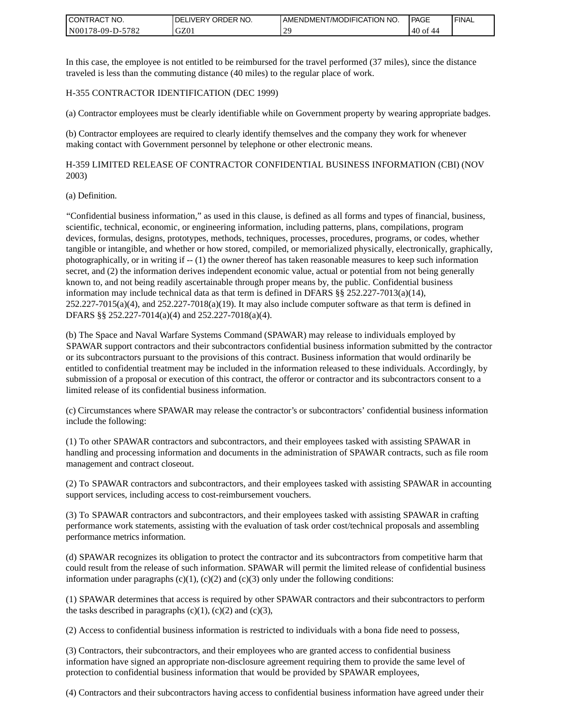| <b>I CONTRACT NO.</b>             | NO.<br>DELIVERY ORDER | AMENDMENT/MODIFICATION NO. | PAGE    | <b>I FINAL</b> |
|-----------------------------------|-----------------------|----------------------------|---------|----------------|
| 5782<br>N001<br>78-09-L<br>$D$ -f | GZ01                  | $\gamma$                   | $40$ of |                |

In this case, the employee is not entitled to be reimbursed for the travel performed (37 miles), since the distance traveled is less than the commuting distance (40 miles) to the regular place of work.

#### H-355 CONTRACTOR IDENTIFICATION (DEC 1999)

(a) Contractor employees must be clearly identifiable while on Government property by wearing appropriate badges.

(b) Contractor employees are required to clearly identify themselves and the company they work for whenever making contact with Government personnel by telephone or other electronic means.

H-359 LIMITED RELEASE OF CONTRACTOR CONFIDENTIAL BUSINESS INFORMATION (CBI) (NOV 2003)

#### (a) Definition.

"Confidential business information," as used in this clause, is defined as all forms and types of financial, business, scientific, technical, economic, or engineering information, including patterns, plans, compilations, program devices, formulas, designs, prototypes, methods, techniques, processes, procedures, programs, or codes, whether tangible or intangible, and whether or how stored, compiled, or memorialized physically, electronically, graphically, photographically, or in writing if -- (1) the owner thereof has taken reasonable measures to keep such information secret, and (2) the information derives independent economic value, actual or potential from not being generally known to, and not being readily ascertainable through proper means by, the public. Confidential business information may include technical data as that term is defined in DFARS  $\S$ § 252.227-7013(a)(14),  $252.227-7015(a)(4)$ , and  $252.227-7018(a)(19)$ . It may also include computer software as that term is defined in DFARS §§ 252.227-7014(a)(4) and 252.227-7018(a)(4).

(b) The Space and Naval Warfare Systems Command (SPAWAR) may release to individuals employed by SPAWAR support contractors and their subcontractors confidential business information submitted by the contractor or its subcontractors pursuant to the provisions of this contract. Business information that would ordinarily be entitled to confidential treatment may be included in the information released to these individuals. Accordingly, by submission of a proposal or execution of this contract, the offeror or contractor and its subcontractors consent to a limited release of its confidential business information.

(c) Circumstances where SPAWAR may release the contractor's or subcontractors' confidential business information include the following:

(1) To other SPAWAR contractors and subcontractors, and their employees tasked with assisting SPAWAR in handling and processing information and documents in the administration of SPAWAR contracts, such as file room management and contract closeout.

(2) To SPAWAR contractors and subcontractors, and their employees tasked with assisting SPAWAR in accounting support services, including access to cost-reimbursement vouchers.

(3) To SPAWAR contractors and subcontractors, and their employees tasked with assisting SPAWAR in crafting performance work statements, assisting with the evaluation of task order cost/technical proposals and assembling performance metrics information.

(d) SPAWAR recognizes its obligation to protect the contractor and its subcontractors from competitive harm that could result from the release of such information. SPAWAR will permit the limited release of confidential business information under paragraphs  $(c)(1)$ ,  $(c)(2)$  and  $(c)(3)$  only under the following conditions:

(1) SPAWAR determines that access is required by other SPAWAR contractors and their subcontractors to perform the tasks described in paragraphs  $(c)(1)$ ,  $(c)(2)$  and  $(c)(3)$ ,

(2) Access to confidential business information is restricted to individuals with a bona fide need to possess,

(3) Contractors, their subcontractors, and their employees who are granted access to confidential business information have signed an appropriate non-disclosure agreement requiring them to provide the same level of protection to confidential business information that would be provided by SPAWAR employees,

(4) Contractors and their subcontractors having access to confidential business information have agreed under their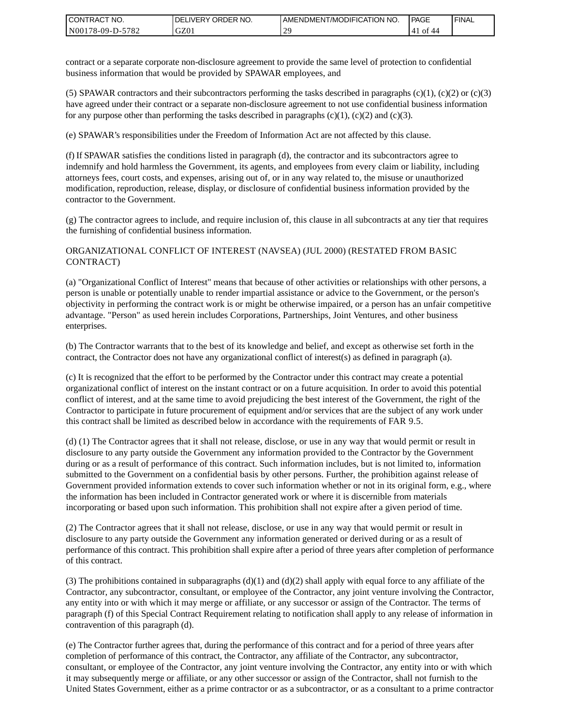| I CONTRACT NO.   | DELIVERY ORDER NO. | AMENDMENT/MODIFICATION NO. | PAGE            | ' FINAL |
|------------------|--------------------|----------------------------|-----------------|---------|
| N00178-09-D-5782 | GZ01               |                            | of<br>'41<br>44 |         |

contract or a separate corporate non-disclosure agreement to provide the same level of protection to confidential business information that would be provided by SPAWAR employees, and

(5) SPAWAR contractors and their subcontractors performing the tasks described in paragraphs  $(c)(1)$ ,  $(c)(2)$  or  $(c)(3)$ have agreed under their contract or a separate non-disclosure agreement to not use confidential business information for any purpose other than performing the tasks described in paragraphs  $(c)(1)$ ,  $(c)(2)$  and  $(c)(3)$ .

(e) SPAWAR's responsibilities under the Freedom of Information Act are not affected by this clause.

(f) If SPAWAR satisfies the conditions listed in paragraph (d), the contractor and its subcontractors agree to indemnify and hold harmless the Government, its agents, and employees from every claim or liability, including attorneys fees, court costs, and expenses, arising out of, or in any way related to, the misuse or unauthorized modification, reproduction, release, display, or disclosure of confidential business information provided by the contractor to the Government.

(g) The contractor agrees to include, and require inclusion of, this clause in all subcontracts at any tier that requires the furnishing of confidential business information.

#### ORGANIZATIONAL CONFLICT OF INTEREST (NAVSEA) (JUL 2000) (RESTATED FROM BASIC CONTRACT)

(a) "Organizational Conflict of Interest" means that because of other activities or relationships with other persons, a person is unable or potentially unable to render impartial assistance or advice to the Government, or the person's objectivity in performing the contract work is or might be otherwise impaired, or a person has an unfair competitive advantage. "Person" as used herein includes Corporations, Partnerships, Joint Ventures, and other business enterprises.

(b) The Contractor warrants that to the best of its knowledge and belief, and except as otherwise set forth in the contract, the Contractor does not have any organizational conflict of interest(s) as defined in paragraph (a).

(c) It is recognized that the effort to be performed by the Contractor under this contract may create a potential organizational conflict of interest on the instant contract or on a future acquisition. In order to avoid this potential conflict of interest, and at the same time to avoid prejudicing the best interest of the Government, the right of the Contractor to participate in future procurement of equipment and/or services that are the subject of any work under this contract shall be limited as described below in accordance with the requirements of FAR 9.5.

(d) (1) The Contractor agrees that it shall not release, disclose, or use in any way that would permit or result in disclosure to any party outside the Government any information provided to the Contractor by the Government during or as a result of performance of this contract. Such information includes, but is not limited to, information submitted to the Government on a confidential basis by other persons. Further, the prohibition against release of Government provided information extends to cover such information whether or not in its original form, e.g., where the information has been included in Contractor generated work or where it is discernible from materials incorporating or based upon such information. This prohibition shall not expire after a given period of time.

(2) The Contractor agrees that it shall not release, disclose, or use in any way that would permit or result in disclosure to any party outside the Government any information generated or derived during or as a result of performance of this contract. This prohibition shall expire after a period of three years after completion of performance of this contract.

(3) The prohibitions contained in subparagraphs  $(d)(1)$  and  $(d)(2)$  shall apply with equal force to any affiliate of the Contractor, any subcontractor, consultant, or employee of the Contractor, any joint venture involving the Contractor, any entity into or with which it may merge or affiliate, or any successor or assign of the Contractor. The terms of paragraph (f) of this Special Contract Requirement relating to notification shall apply to any release of information in contravention of this paragraph (d).

(e) The Contractor further agrees that, during the performance of this contract and for a period of three years after completion of performance of this contract, the Contractor, any affiliate of the Contractor, any subcontractor, consultant, or employee of the Contractor, any joint venture involving the Contractor, any entity into or with which it may subsequently merge or affiliate, or any other successor or assign of the Contractor, shall not furnish to the United States Government, either as a prime contractor or as a subcontractor, or as a consultant to a prime contractor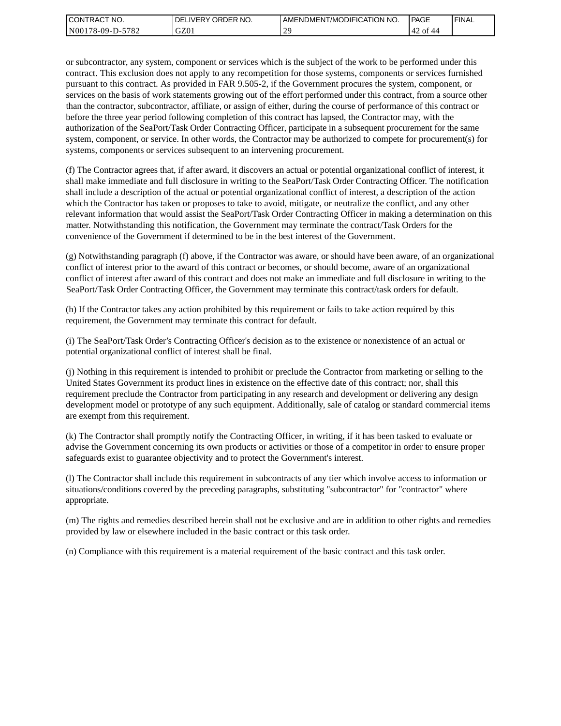| I CONTRACT NO.   | <b>IDELIVERY ORDER NO.</b> | AMENDMENT/MODIFICATION NO. | PAGE                   | 'FINAL |
|------------------|----------------------------|----------------------------|------------------------|--------|
| N00178-09-D-5782 | GZ01                       | nG.                        | $\sim$<br>42 of<br>-44 |        |

or subcontractor, any system, component or services which is the subject of the work to be performed under this contract. This exclusion does not apply to any recompetition for those systems, components or services furnished pursuant to this contract. As provided in FAR 9.505-2, if the Government procures the system, component, or services on the basis of work statements growing out of the effort performed under this contract, from a source other than the contractor, subcontractor, affiliate, or assign of either, during the course of performance of this contract or before the three year period following completion of this contract has lapsed, the Contractor may, with the authorization of the SeaPort/Task Order Contracting Officer, participate in a subsequent procurement for the same system, component, or service. In other words, the Contractor may be authorized to compete for procurement(s) for systems, components or services subsequent to an intervening procurement.

(f) The Contractor agrees that, if after award, it discovers an actual or potential organizational conflict of interest, it shall make immediate and full disclosure in writing to the SeaPort/Task Order Contracting Officer. The notification shall include a description of the actual or potential organizational conflict of interest, a description of the action which the Contractor has taken or proposes to take to avoid, mitigate, or neutralize the conflict, and any other relevant information that would assist the SeaPort/Task Order Contracting Officer in making a determination on this matter. Notwithstanding this notification, the Government may terminate the contract/Task Orders for the convenience of the Government if determined to be in the best interest of the Government.

(g) Notwithstanding paragraph (f) above, if the Contractor was aware, or should have been aware, of an organizational conflict of interest prior to the award of this contract or becomes, or should become, aware of an organizational conflict of interest after award of this contract and does not make an immediate and full disclosure in writing to the SeaPort/Task Order Contracting Officer, the Government may terminate this contract/task orders for default.

(h) If the Contractor takes any action prohibited by this requirement or fails to take action required by this requirement, the Government may terminate this contract for default.

(i) The SeaPort/Task Order's Contracting Officer's decision as to the existence or nonexistence of an actual or potential organizational conflict of interest shall be final.

(j) Nothing in this requirement is intended to prohibit or preclude the Contractor from marketing or selling to the United States Government its product lines in existence on the effective date of this contract; nor, shall this requirement preclude the Contractor from participating in any research and development or delivering any design development model or prototype of any such equipment. Additionally, sale of catalog or standard commercial items are exempt from this requirement.

(k) The Contractor shall promptly notify the Contracting Officer, in writing, if it has been tasked to evaluate or advise the Government concerning its own products or activities or those of a competitor in order to ensure proper safeguards exist to guarantee objectivity and to protect the Government's interest.

(l) The Contractor shall include this requirement in subcontracts of any tier which involve access to information or situations/conditions covered by the preceding paragraphs, substituting "subcontractor" for "contractor" where appropriate.

(m) The rights and remedies described herein shall not be exclusive and are in addition to other rights and remedies provided by law or elsewhere included in the basic contract or this task order.

(n) Compliance with this requirement is a material requirement of the basic contract and this task order.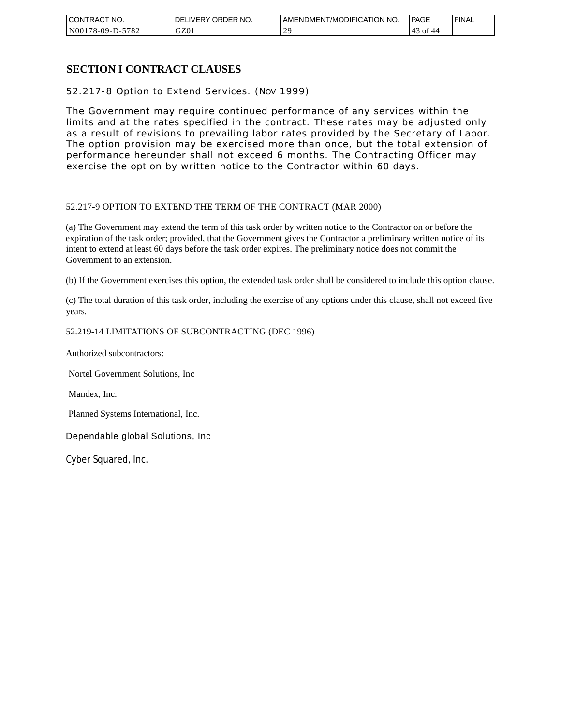| CONTRACT NO.          | NO.<br>ORDER<br><b>DELIVERY</b> | AMENDMENT/MODIFICATION NO. | <b>PAGE</b>            | ' FINAL |
|-----------------------|---------------------------------|----------------------------|------------------------|---------|
| N00178-09-D-5<br>5782 | GZ01                            | $\gamma$                   | ΟĪ<br>$\Delta$<br>د4 ' |         |

### **SECTION I CONTRACT CLAUSES**

52.217-8 Option to Extend Services. (NOV 1999)

The Government may require continued performance of any services within the limits and at the rates specified in the contract. These rates may be adjusted only as a result of revisions to prevailing labor rates provided by the Secretary of Labor. The option provision may be exercised more than once, but the total extension of performance hereunder shall not exceed 6 months. The Contracting Officer may exercise the option by written notice to the Contractor within 60 days.

#### 52.217-9 OPTION TO EXTEND THE TERM OF THE CONTRACT (MAR 2000)

(a) The Government may extend the term of this task order by written notice to the Contractor on or before the expiration of the task order; provided, that the Government gives the Contractor a preliminary written notice of its intent to extend at least 60 days before the task order expires. The preliminary notice does not commit the Government to an extension.

(b) If the Government exercises this option, the extended task order shall be considered to include this option clause.

(c) The total duration of this task order, including the exercise of any options under this clause, shall not exceed five years.

#### 52.219-14 LIMITATIONS OF SUBCONTRACTING (DEC 1996)

Authorized subcontractors:

Nortel Government Solutions, Inc

Mandex, Inc.

Planned Systems International, Inc.

Dependable global Solutions, Inc

Cyber Squared, Inc.